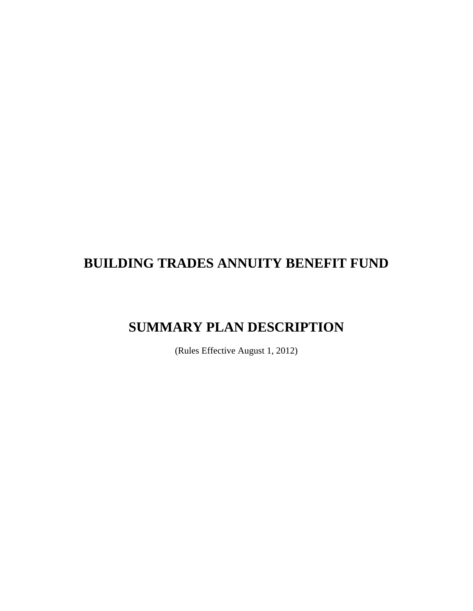# **BUILDING TRADES ANNUITY BENEFIT FUND**

# **SUMMARY PLAN DESCRIPTION**

(Rules Effective August 1, 2012)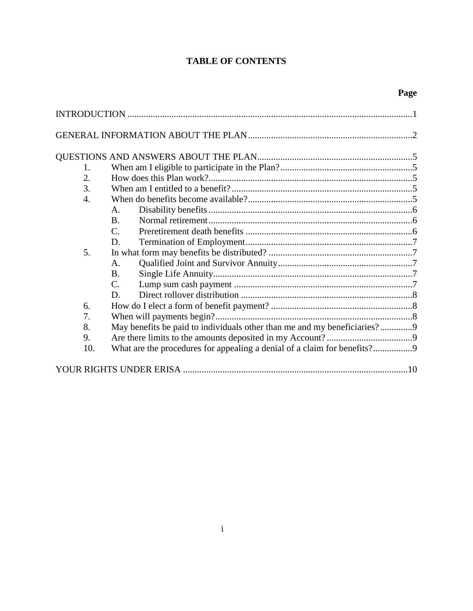# **TABLE OF CONTENTS**

| 1.                                                                             |  |  |  |  |  |  |
|--------------------------------------------------------------------------------|--|--|--|--|--|--|
| 2.                                                                             |  |  |  |  |  |  |
| 3.                                                                             |  |  |  |  |  |  |
| 4.                                                                             |  |  |  |  |  |  |
| $\mathsf{A}$ .                                                                 |  |  |  |  |  |  |
| <b>B.</b>                                                                      |  |  |  |  |  |  |
| $\mathcal{C}$ .                                                                |  |  |  |  |  |  |
| D.                                                                             |  |  |  |  |  |  |
| 5.                                                                             |  |  |  |  |  |  |
| A.                                                                             |  |  |  |  |  |  |
| <b>B.</b>                                                                      |  |  |  |  |  |  |
| $\mathcal{C}$ .                                                                |  |  |  |  |  |  |
| D.                                                                             |  |  |  |  |  |  |
| 6.                                                                             |  |  |  |  |  |  |
| 7.                                                                             |  |  |  |  |  |  |
| May benefits be paid to individuals other than me and my beneficiaries?9<br>8. |  |  |  |  |  |  |
| 9.                                                                             |  |  |  |  |  |  |
| 10.                                                                            |  |  |  |  |  |  |
|                                                                                |  |  |  |  |  |  |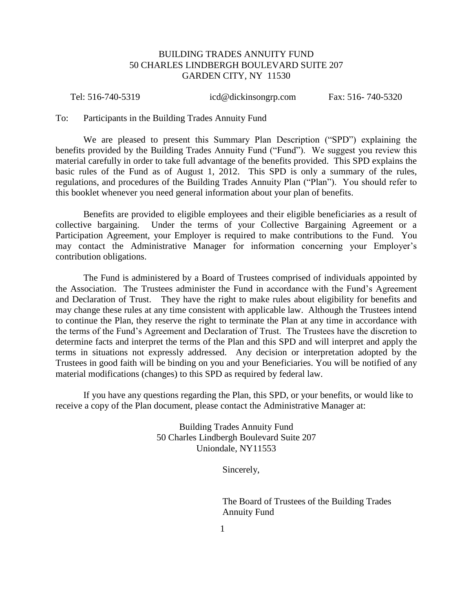# BUILDING TRADES ANNUITY FUND 50 CHARLES LINDBERGH BOULEVARD SUITE 207 GARDEN CITY, NY 11530

Tel: 516-740-5319 icd@dickinsongrp.com Fax: 516- 740-5320

To: Participants in the Building Trades Annuity Fund

We are pleased to present this Summary Plan Description ("SPD") explaining the benefits provided by the Building Trades Annuity Fund ("Fund"). We suggest you review this material carefully in order to take full advantage of the benefits provided. This SPD explains the basic rules of the Fund as of August 1, 2012. This SPD is only a summary of the rules, regulations, and procedures of the Building Trades Annuity Plan ("Plan"). You should refer to this booklet whenever you need general information about your plan of benefits.

Benefits are provided to eligible employees and their eligible beneficiaries as a result of collective bargaining. Under the terms of your Collective Bargaining Agreement or a Participation Agreement, your Employer is required to make contributions to the Fund. You may contact the Administrative Manager for information concerning your Employer's contribution obligations.

The Fund is administered by a Board of Trustees comprised of individuals appointed by the Association. The Trustees administer the Fund in accordance with the Fund's Agreement and Declaration of Trust. They have the right to make rules about eligibility for benefits and may change these rules at any time consistent with applicable law. Although the Trustees intend to continue the Plan, they reserve the right to terminate the Plan at any time in accordance with the terms of the Fund's Agreement and Declaration of Trust. The Trustees have the discretion to determine facts and interpret the terms of the Plan and this SPD and will interpret and apply the terms in situations not expressly addressed. Any decision or interpretation adopted by the Trustees in good faith will be binding on you and your Beneficiaries. You will be notified of any material modifications (changes) to this SPD as required by federal law.

If you have any questions regarding the Plan, this SPD, or your benefits, or would like to receive a copy of the Plan document, please contact the Administrative Manager at:

> Building Trades Annuity Fund 50 Charles Lindbergh Boulevard Suite 207 Uniondale, NY11553

> > Sincerely,

The Board of Trustees of the Building Trades Annuity Fund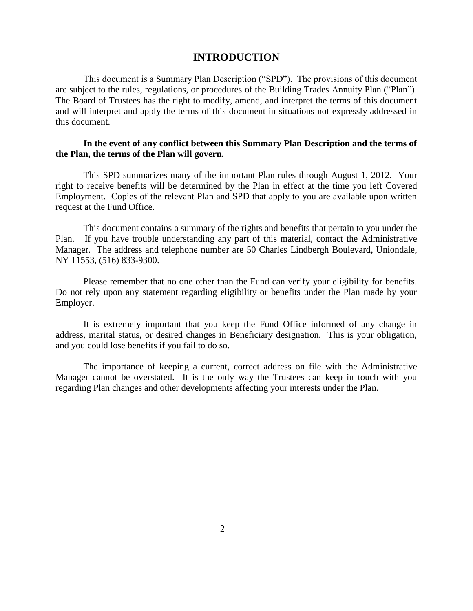# **INTRODUCTION**

<span id="page-3-0"></span>This document is a Summary Plan Description ("SPD"). The provisions of this document are subject to the rules, regulations, or procedures of the Building Trades Annuity Plan ("Plan"). The Board of Trustees has the right to modify, amend, and interpret the terms of this document and will interpret and apply the terms of this document in situations not expressly addressed in this document.

# **In the event of any conflict between this Summary Plan Description and the terms of the Plan, the terms of the Plan will govern.**

This SPD summarizes many of the important Plan rules through August 1, 2012. Your right to receive benefits will be determined by the Plan in effect at the time you left Covered Employment. Copies of the relevant Plan and SPD that apply to you are available upon written request at the Fund Office.

This document contains a summary of the rights and benefits that pertain to you under the Plan. If you have trouble understanding any part of this material, contact the Administrative Manager. The address and telephone number are 50 Charles Lindbergh Boulevard, Uniondale, NY 11553, (516) 833-9300.

Please remember that no one other than the Fund can verify your eligibility for benefits. Do not rely upon any statement regarding eligibility or benefits under the Plan made by your Employer.

It is extremely important that you keep the Fund Office informed of any change in address, marital status, or desired changes in Beneficiary designation. This is your obligation, and you could lose benefits if you fail to do so.

The importance of keeping a current, correct address on file with the Administrative Manager cannot be overstated. It is the only way the Trustees can keep in touch with you regarding Plan changes and other developments affecting your interests under the Plan.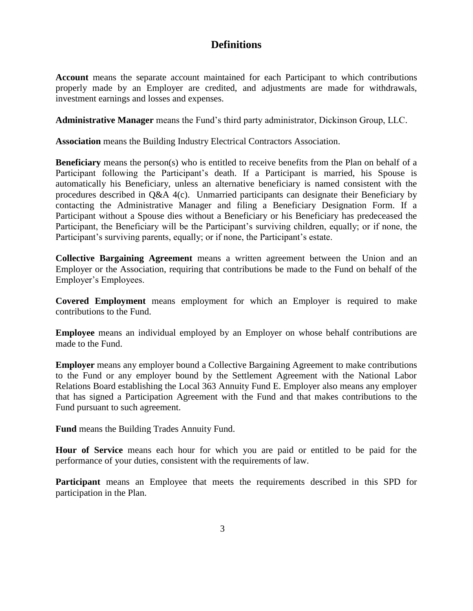# **Definitions**

<span id="page-4-0"></span>**Account** means the separate account maintained for each Participant to which contributions properly made by an Employer are credited, and adjustments are made for withdrawals, investment earnings and losses and expenses.

**Administrative Manager** means the Fund's third party administrator, Dickinson Group, LLC.

**Association** means the Building Industry Electrical Contractors Association.

**Beneficiary** means the person(s) who is entitled to receive benefits from the Plan on behalf of a Participant following the Participant's death. If a Participant is married, his Spouse is automatically his Beneficiary, unless an alternative beneficiary is named consistent with the procedures described in Q&A 4(c). Unmarried participants can designate their Beneficiary by contacting the Administrative Manager and filing a Beneficiary Designation Form. If a Participant without a Spouse dies without a Beneficiary or his Beneficiary has predeceased the Participant, the Beneficiary will be the Participant's surviving children, equally; or if none, the Participant's surviving parents, equally; or if none, the Participant's estate.

**Collective Bargaining Agreement** means a written agreement between the Union and an Employer or the Association, requiring that contributions be made to the Fund on behalf of the Employer's Employees.

**Covered Employment** means employment for which an Employer is required to make contributions to the Fund.

**Employee** means an individual employed by an Employer on whose behalf contributions are made to the Fund.

**Employer** means any employer bound a Collective Bargaining Agreement to make contributions to the Fund or any employer bound by the Settlement Agreement with the National Labor Relations Board establishing the Local 363 Annuity Fund E. Employer also means any employer that has signed a Participation Agreement with the Fund and that makes contributions to the Fund pursuant to such agreement.

**Fund** means the Building Trades Annuity Fund.

**Hour of Service** means each hour for which you are paid or entitled to be paid for the performance of your duties, consistent with the requirements of law.

**Participant** means an Employee that meets the requirements described in this SPD for participation in the Plan.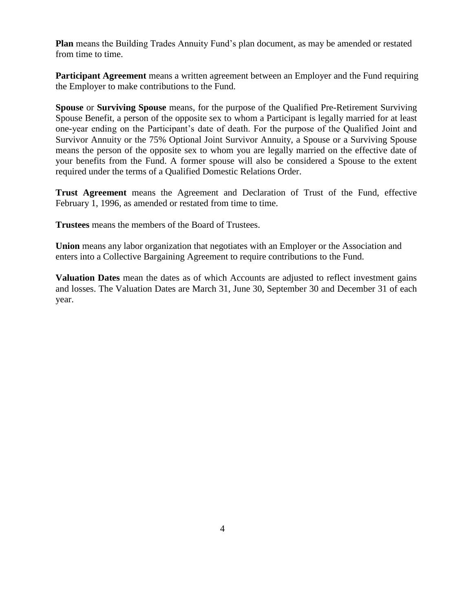**Plan** means the Building Trades Annuity Fund's plan document, as may be amended or restated from time to time.

**Participant Agreement** means a written agreement between an Employer and the Fund requiring the Employer to make contributions to the Fund.

**Spouse** or **Surviving Spouse** means, for the purpose of the Qualified Pre-Retirement Surviving Spouse Benefit, a person of the opposite sex to whom a Participant is legally married for at least one-year ending on the Participant's date of death. For the purpose of the Qualified Joint and Survivor Annuity or the 75% Optional Joint Survivor Annuity, a Spouse or a Surviving Spouse means the person of the opposite sex to whom you are legally married on the effective date of your benefits from the Fund. A former spouse will also be considered a Spouse to the extent required under the terms of a Qualified Domestic Relations Order.

**Trust Agreement** means the Agreement and Declaration of Trust of the Fund, effective February 1, 1996, as amended or restated from time to time.

**Trustees** means the members of the Board of Trustees.

**Union** means any labor organization that negotiates with an Employer or the Association and enters into a Collective Bargaining Agreement to require contributions to the Fund.

**Valuation Dates** mean the dates as of which Accounts are adjusted to reflect investment gains and losses. The Valuation Dates are March 31, June 30, September 30 and December 31 of each year.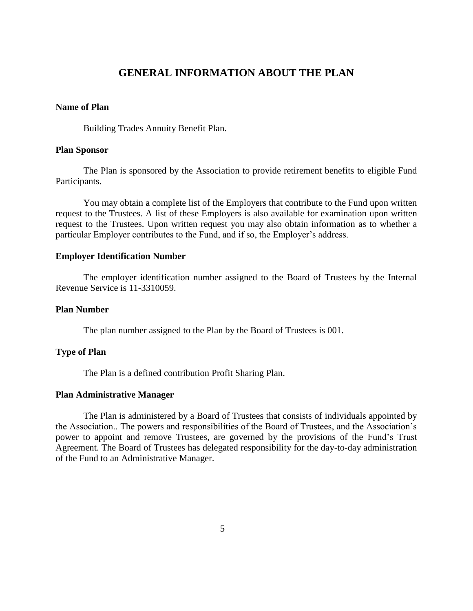# **GENERAL INFORMATION ABOUT THE PLAN**

# **Name of Plan**

Building Trades Annuity Benefit Plan.

# **Plan Sponsor**

The Plan is sponsored by the Association to provide retirement benefits to eligible Fund Participants.

You may obtain a complete list of the Employers that contribute to the Fund upon written request to the Trustees. A list of these Employers is also available for examination upon written request to the Trustees. Upon written request you may also obtain information as to whether a particular Employer contributes to the Fund, and if so, the Employer's address.

# **Employer Identification Number**

The employer identification number assigned to the Board of Trustees by the Internal Revenue Service is 11-3310059.

#### **Plan Number**

The plan number assigned to the Plan by the Board of Trustees is 001.

# **Type of Plan**

The Plan is a defined contribution Profit Sharing Plan.

#### **Plan Administrative Manager**

The Plan is administered by a Board of Trustees that consists of individuals appointed by the Association.. The powers and responsibilities of the Board of Trustees, and the Association's power to appoint and remove Trustees, are governed by the provisions of the Fund's Trust Agreement. The Board of Trustees has delegated responsibility for the day-to-day administration of the Fund to an Administrative Manager.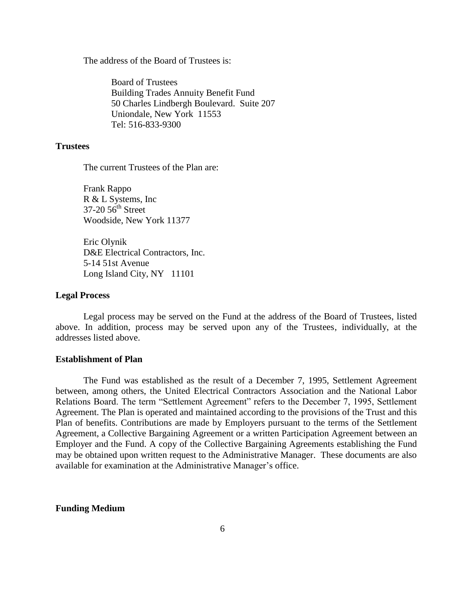<span id="page-7-0"></span>The address of the Board of Trustees is:

Board of Trustees Building Trades Annuity Benefit Fund 50 Charles Lindbergh Boulevard. Suite 207 Uniondale, New York 11553 Tel: 516-833-9300

# **Trustees**

The current Trustees of the Plan are:

Frank Rappo R & L Systems, Inc  $37-20.56$ <sup>th</sup> Street Woodside, New York 11377

Eric Olynik D&E Electrical Contractors, Inc. 5-14 51st Avenue Long Island City, NY 11101

#### **Legal Process**

Legal process may be served on the Fund at the address of the Board of Trustees, listed above. In addition, process may be served upon any of the Trustees, individually, at the addresses listed above.

## **Establishment of Plan**

The Fund was established as the result of a December 7, 1995, Settlement Agreement between, among others, the United Electrical Contractors Association and the National Labor Relations Board. The term "Settlement Agreement" refers to the December 7, 1995, Settlement Agreement. The Plan is operated and maintained according to the provisions of the Trust and this Plan of benefits. Contributions are made by Employers pursuant to the terms of the Settlement Agreement, a Collective Bargaining Agreement or a written Participation Agreement between an Employer and the Fund. A copy of the Collective Bargaining Agreements establishing the Fund may be obtained upon written request to the Administrative Manager. These documents are also available for examination at the Administrative Manager's office.

#### **Funding Medium**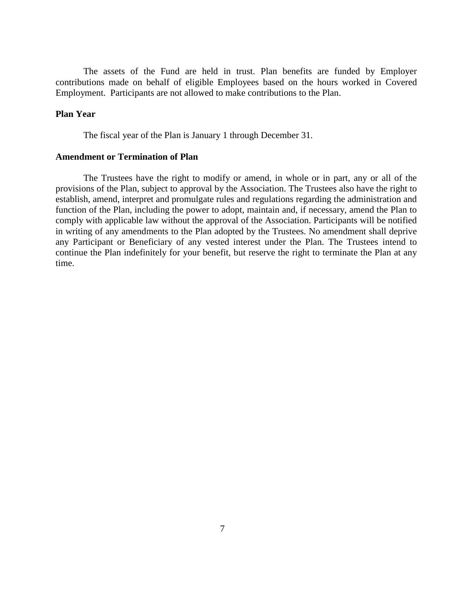The assets of the Fund are held in trust. Plan benefits are funded by Employer contributions made on behalf of eligible Employees based on the hours worked in Covered Employment. Participants are not allowed to make contributions to the Plan.

# **Plan Year**

The fiscal year of the Plan is January 1 through December 31.

# **Amendment or Termination of Plan**

The Trustees have the right to modify or amend, in whole or in part, any or all of the provisions of the Plan, subject to approval by the Association. The Trustees also have the right to establish, amend, interpret and promulgate rules and regulations regarding the administration and function of the Plan, including the power to adopt, maintain and, if necessary, amend the Plan to comply with applicable law without the approval of the Association. Participants will be notified in writing of any amendments to the Plan adopted by the Trustees. No amendment shall deprive any Participant or Beneficiary of any vested interest under the Plan. The Trustees intend to continue the Plan indefinitely for your benefit, but reserve the right to terminate the Plan at any time.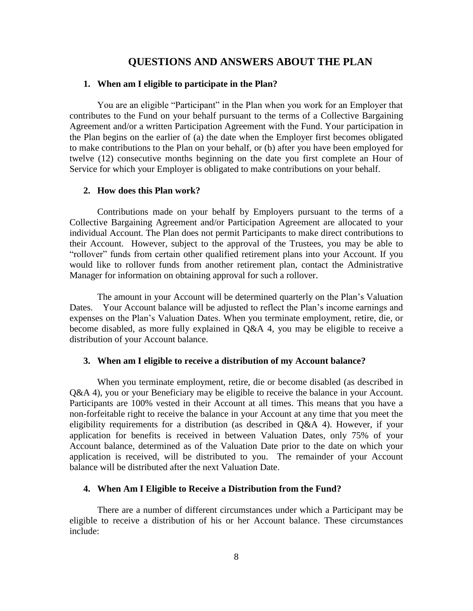# **QUESTIONS AND ANSWERS ABOUT THE PLAN**

# **1. When am I eligible to participate in the Plan?**

You are an eligible "Participant" in the Plan when you work for an Employer that contributes to the Fund on your behalf pursuant to the terms of a Collective Bargaining Agreement and/or a written Participation Agreement with the Fund. Your participation in the Plan begins on the earlier of (a) the date when the Employer first becomes obligated to make contributions to the Plan on your behalf, or (b) after you have been employed for twelve (12) consecutive months beginning on the date you first complete an Hour of Service for which your Employer is obligated to make contributions on your behalf.

# **2. How does this Plan work?**

Contributions made on your behalf by Employers pursuant to the terms of a Collective Bargaining Agreement and/or Participation Agreement are allocated to your individual Account. The Plan does not permit Participants to make direct contributions to their Account. However, subject to the approval of the Trustees, you may be able to "rollover" funds from certain other qualified retirement plans into your Account. If you would like to rollover funds from another retirement plan, contact the Administrative Manager for information on obtaining approval for such a rollover.

The amount in your Account will be determined quarterly on the Plan's Valuation Dates. Your Account balance will be adjusted to reflect the Plan's income earnings and expenses on the Plan's Valuation Dates. When you terminate employment, retire, die, or become disabled, as more fully explained in Q&A 4, you may be eligible to receive a distribution of your Account balance.

# **3. When am I eligible to receive a distribution of my Account balance?**

When you terminate employment, retire, die or become disabled (as described in Q&A 4), you or your Beneficiary may be eligible to receive the balance in your Account. Participants are 100% vested in their Account at all times. This means that you have a non-forfeitable right to receive the balance in your Account at any time that you meet the eligibility requirements for a distribution (as described in Q&A 4). However, if your application for benefits is received in between Valuation Dates, only 75% of your Account balance, determined as of the Valuation Date prior to the date on which your application is received, will be distributed to you. The remainder of your Account balance will be distributed after the next Valuation Date.

# **4. When Am I Eligible to Receive a Distribution from the Fund?**

There are a number of different circumstances under which a Participant may be eligible to receive a distribution of his or her Account balance. These circumstances include: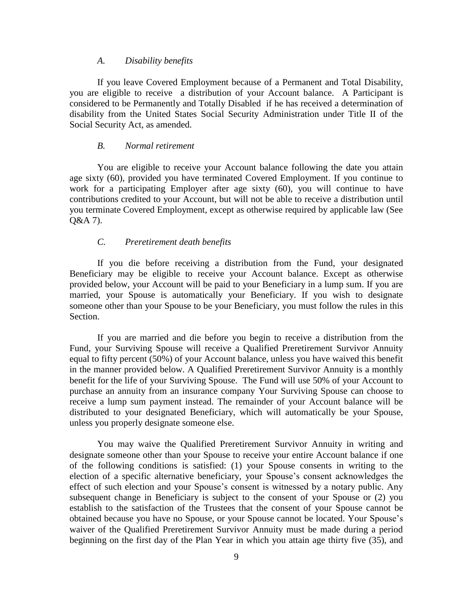#### *A. Disability benefits*

<span id="page-10-1"></span><span id="page-10-0"></span>If you leave Covered Employment because of a Permanent and Total Disability, you are eligible to receive a distribution of your Account balance. A Participant is considered to be Permanently and Totally Disabled if he has received a determination of disability from the United States Social Security Administration under Title II of the Social Security Act, as amended.

# *B. Normal retirement*

<span id="page-10-2"></span>You are eligible to receive your Account balance following the date you attain age sixty (60), provided you have terminated Covered Employment. If you continue to work for a participating Employer after age sixty (60), you will continue to have contributions credited to your Account, but will not be able to receive a distribution until you terminate Covered Employment, except as otherwise required by applicable law (See Q&A 7).

# *C. Preretirement death benefits*

<span id="page-10-3"></span>If you die before receiving a distribution from the Fund, your designated Beneficiary may be eligible to receive your Account balance. Except as otherwise provided below, your Account will be paid to your Beneficiary in a lump sum. If you are married, your Spouse is automatically your Beneficiary. If you wish to designate someone other than your Spouse to be your Beneficiary, you must follow the rules in this Section.

<span id="page-10-4"></span>If you are married and die before you begin to receive a distribution from the Fund, your Surviving Spouse will receive a Qualified Preretirement Survivor Annuity equal to fifty percent (50%) of your Account balance, unless you have waived this benefit in the manner provided below. A Qualified Preretirement Survivor Annuity is a monthly benefit for the life of your Surviving Spouse. The Fund will use 50% of your Account to purchase an annuity from an insurance company Your Surviving Spouse can choose to receive a lump sum payment instead. The remainder of your Account balance will be distributed to your designated Beneficiary, which will automatically be your Spouse, unless you properly designate someone else.

<span id="page-10-5"></span>You may waive the Qualified Preretirement Survivor Annuity in writing and designate someone other than your Spouse to receive your entire Account balance if one of the following conditions is satisfied: (1) your Spouse consents in writing to the election of a specific alternative beneficiary, your Spouse's consent acknowledges the effect of such election and your Spouse's consent is witnessed by a notary public. Any subsequent change in Beneficiary is subject to the consent of your Spouse or (2) you establish to the satisfaction of the Trustees that the consent of your Spouse cannot be obtained because you have no Spouse, or your Spouse cannot be located. Your Spouse's waiver of the Qualified Preretirement Survivor Annuity must be made during a period beginning on the first day of the Plan Year in which you attain age thirty five (35), and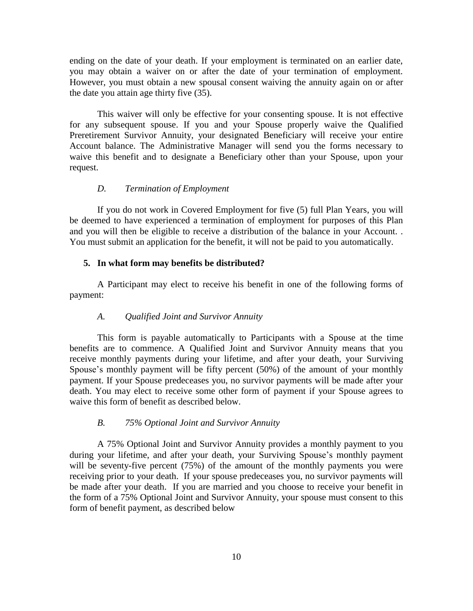ending on the date of your death. If your employment is terminated on an earlier date, you may obtain a waiver on or after the date of your termination of employment. However, you must obtain a new spousal consent waiving the annuity again on or after the date you attain age thirty five (35).

<span id="page-11-0"></span>This waiver will only be effective for your consenting spouse. It is not effective for any subsequent spouse. If you and your Spouse properly waive the Qualified Preretirement Survivor Annuity, your designated Beneficiary will receive your entire Account balance. The Administrative Manager will send you the forms necessary to waive this benefit and to designate a Beneficiary other than your Spouse, upon your request.

# *D. Termination of Employment*

If you do not work in Covered Employment for five (5) full Plan Years, you will be deemed to have experienced a termination of employment for purposes of this Plan and you will then be eligible to receive a distribution of the balance in your Account. . You must submit an application for the benefit, it will not be paid to you automatically.

### **5. In what form may benefits be distributed?**

A Participant may elect to receive his benefit in one of the following forms of payment:

#### *A. Qualified Joint and Survivor Annuity*

This form is payable automatically to Participants with a Spouse at the time benefits are to commence. A Qualified Joint and Survivor Annuity means that you receive monthly payments during your lifetime, and after your death, your Surviving Spouse's monthly payment will be fifty percent (50%) of the amount of your monthly payment. If your Spouse predeceases you, no survivor payments will be made after your death. You may elect to receive some other form of payment if your Spouse agrees to waive this form of benefit as described below.

#### *B. 75% Optional Joint and Survivor Annuity*

<span id="page-11-2"></span><span id="page-11-1"></span>A 75% Optional Joint and Survivor Annuity provides a monthly payment to you during your lifetime, and after your death, your Surviving Spouse's monthly payment will be seventy-five percent (75%) of the amount of the monthly payments you were receiving prior to your death. If your spouse predeceases you, no survivor payments will be made after your death. If you are married and you choose to receive your benefit in the form of a 75% Optional Joint and Survivor Annuity, your spouse must consent to this form of benefit payment, as described below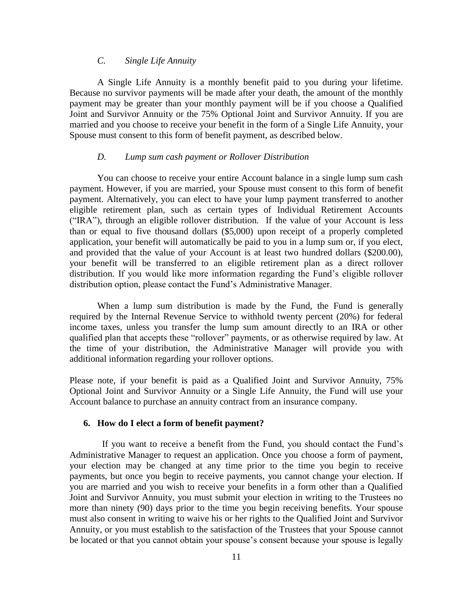# *C. Single Life Annuity*

A Single Life Annuity is a monthly benefit paid to you during your lifetime. Because no survivor payments will be made after your death, the amount of the monthly payment may be greater than your monthly payment will be if you choose a Qualified Joint and Survivor Annuity or the 75% Optional Joint and Survivor Annuity. If you are married and you choose to receive your benefit in the form of a Single Life Annuity, your Spouse must consent to this form of benefit payment, as described below.

# *D. Lump sum cash payment or Rollover Distribution*

<span id="page-12-0"></span>You can choose to receive your entire Account balance in a single lump sum cash payment. However, if you are married, your Spouse must consent to this form of benefit payment. Alternatively, you can elect to have your lump payment transferred to another eligible retirement plan, such as certain types of Individual Retirement Accounts ("IRA"), through an eligible rollover distribution. If the value of your Account is less than or equal to five thousand dollars (\$5,000) upon receipt of a properly completed application, your benefit will automatically be paid to you in a lump sum or, if you elect, and provided that the value of your Account is at least two hundred dollars (\$200.00), your benefit will be transferred to an eligible retirement plan as a direct rollover distribution. If you would like more information regarding the Fund's eligible rollover distribution option, please contact the Fund's Administrative Manager.

<span id="page-12-1"></span>When a lump sum distribution is made by the Fund, the Fund is generally required by the Internal Revenue Service to withhold twenty percent (20%) for federal income taxes, unless you transfer the lump sum amount directly to an IRA or other qualified plan that accepts these "rollover" payments, or as otherwise required by law. At the time of your distribution, the Administrative Manager will provide you with additional information regarding your rollover options.

Please note, if your benefit is paid as a Qualified Joint and Survivor Annuity, 75% Optional Joint and Survivor Annuity or a Single Life Annuity, the Fund will use your Account balance to purchase an annuity contract from an insurance company.

# **6. How do I elect a form of benefit payment?**

<span id="page-12-2"></span> If you want to receive a benefit from the Fund, you should contact the Fund's Administrative Manager to request an application. Once you choose a form of payment, your election may be changed at any time prior to the time you begin to receive payments, but once you begin to receive payments, you cannot change your election. If you are married and you wish to receive your benefits in a form other than a Qualified Joint and Survivor Annuity, you must submit your election in writing to the Trustees no more than ninety (90) days prior to the time you begin receiving benefits. Your spouse must also consent in writing to waive his or her rights to the Qualified Joint and Survivor Annuity, or you must establish to the satisfaction of the Trustees that your Spouse cannot be located or that you cannot obtain your spouse's consent because your spouse is legally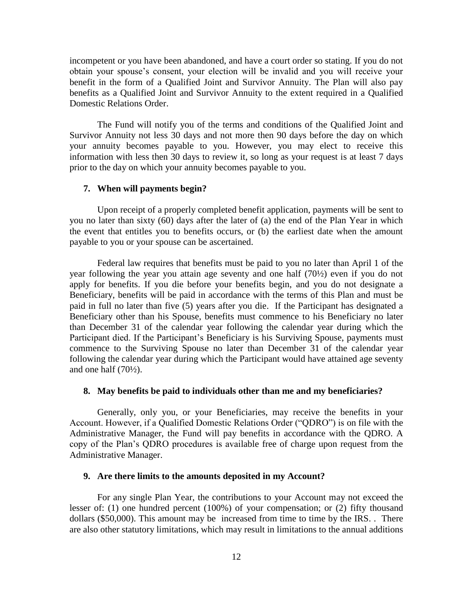incompetent or you have been abandoned, and have a court order so stating. If you do not obtain your spouse's consent, your election will be invalid and you will receive your benefit in the form of a Qualified Joint and Survivor Annuity. The Plan will also pay benefits as a Qualified Joint and Survivor Annuity to the extent required in a Qualified Domestic Relations Order.

<span id="page-13-0"></span>The Fund will notify you of the terms and conditions of the Qualified Joint and Survivor Annuity not less 30 days and not more then 90 days before the day on which your annuity becomes payable to you. However, you may elect to receive this information with less then 30 days to review it, so long as your request is at least 7 days prior to the day on which your annuity becomes payable to you.

#### **7. When will payments begin?**

<span id="page-13-1"></span>Upon receipt of a properly completed benefit application, payments will be sent to you no later than sixty (60) days after the later of (a) the end of the Plan Year in which the event that entitles you to benefits occurs, or (b) the earliest date when the amount payable to you or your spouse can be ascertained.

Federal law requires that benefits must be paid to you no later than April 1 of the year following the year you attain age seventy and one half (70½) even if you do not apply for benefits. If you die before your benefits begin, and you do not designate a Beneficiary, benefits will be paid in accordance with the terms of this Plan and must be paid in full no later than five (5) years after you die. If the Participant has designated a Beneficiary other than his Spouse, benefits must commence to his Beneficiary no later than December 31 of the calendar year following the calendar year during which the Participant died. If the Participant's Beneficiary is his Surviving Spouse, payments must commence to the Surviving Spouse no later than December 31 of the calendar year following the calendar year during which the Participant would have attained age seventy and one half  $(70\frac{1}{2})$ .

#### **8. May benefits be paid to individuals other than me and my beneficiaries?**

Generally, only you, or your Beneficiaries, may receive the benefits in your Account. However, if a Qualified Domestic Relations Order ("QDRO") is on file with the Administrative Manager, the Fund will pay benefits in accordance with the QDRO. A copy of the Plan's QDRO procedures is available free of charge upon request from the Administrative Manager.

#### **9. Are there limits to the amounts deposited in my Account?**

For any single Plan Year, the contributions to your Account may not exceed the lesser of: (1) one hundred percent (100%) of your compensation; or (2) fifty thousand dollars (\$50,000). This amount may be increased from time to time by the IRS. . There are also other statutory limitations, which may result in limitations to the annual additions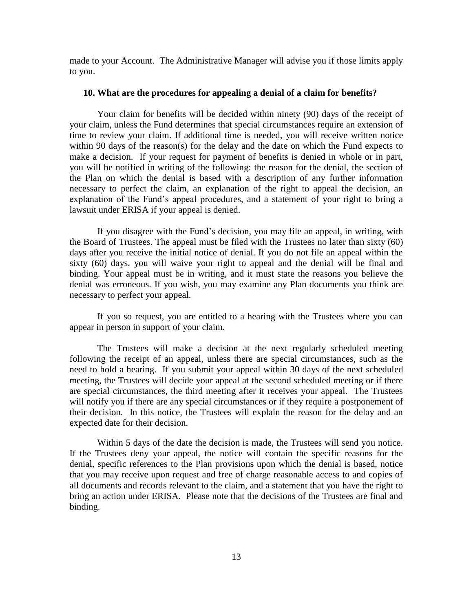<span id="page-14-0"></span>made to your Account. The Administrative Manager will advise you if those limits apply to you.

#### **10. What are the procedures for appealing a denial of a claim for benefits?**

Your claim for benefits will be decided within ninety (90) days of the receipt of your claim, unless the Fund determines that special circumstances require an extension of time to review your claim. If additional time is needed, you will receive written notice within 90 days of the reason(s) for the delay and the date on which the Fund expects to make a decision. If your request for payment of benefits is denied in whole or in part, you will be notified in writing of the following: the reason for the denial, the section of the Plan on which the denial is based with a description of any further information necessary to perfect the claim, an explanation of the right to appeal the decision, an explanation of the Fund's appeal procedures, and a statement of your right to bring a lawsuit under ERISA if your appeal is denied.

<span id="page-14-1"></span>If you disagree with the Fund's decision, you may file an appeal, in writing, with the Board of Trustees. The appeal must be filed with the Trustees no later than sixty (60) days after you receive the initial notice of denial. If you do not file an appeal within the sixty (60) days, you will waive your right to appeal and the denial will be final and binding. Your appeal must be in writing, and it must state the reasons you believe the denial was erroneous. If you wish, you may examine any Plan documents you think are necessary to perfect your appeal.

If you so request, you are entitled to a hearing with the Trustees where you can appear in person in support of your claim.

The Trustees will make a decision at the next regularly scheduled meeting following the receipt of an appeal, unless there are special circumstances, such as the need to hold a hearing. If you submit your appeal within 30 days of the next scheduled meeting, the Trustees will decide your appeal at the second scheduled meeting or if there are special circumstances, the third meeting after it receives your appeal. The Trustees will notify you if there are any special circumstances or if they require a postponement of their decision. In this notice, the Trustees will explain the reason for the delay and an expected date for their decision.

Within 5 days of the date the decision is made, the Trustees will send you notice. If the Trustees deny your appeal, the notice will contain the specific reasons for the denial, specific references to the Plan provisions upon which the denial is based, notice that you may receive upon request and free of charge reasonable access to and copies of all documents and records relevant to the claim, and a statement that you have the right to bring an action under ERISA. Please note that the decisions of the Trustees are final and binding.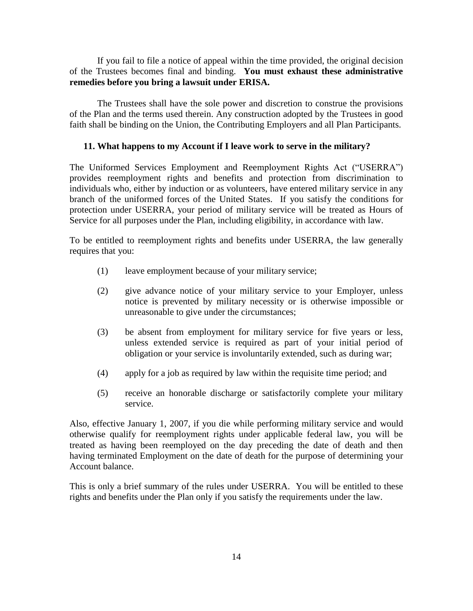<span id="page-15-0"></span>If you fail to file a notice of appeal within the time provided, the original decision of the Trustees becomes final and binding. **You must exhaust these administrative remedies before you bring a lawsuit under ERISA.** 

The Trustees shall have the sole power and discretion to construe the provisions of the Plan and the terms used therein. Any construction adopted by the Trustees in good faith shall be binding on the Union, the Contributing Employers and all Plan Participants.

#### **11. What happens to my Account if I leave work to serve in the military?**

The Uniformed Services Employment and Reemployment Rights Act ("USERRA") provides reemployment rights and benefits and protection from discrimination to individuals who, either by induction or as volunteers, have entered military service in any branch of the uniformed forces of the United States. If you satisfy the conditions for protection under USERRA, your period of military service will be treated as Hours of Service for all purposes under the Plan, including eligibility, in accordance with law.

<span id="page-15-1"></span>To be entitled to reemployment rights and benefits under USERRA, the law generally requires that you:

- (1) leave employment because of your military service;
- (2) give advance notice of your military service to your Employer, unless notice is prevented by military necessity or is otherwise impossible or unreasonable to give under the circumstances;
- (3) be absent from employment for military service for five years or less, unless extended service is required as part of your initial period of obligation or your service is involuntarily extended, such as during war;
- (4) apply for a job as required by law within the requisite time period; and
- (5) receive an honorable discharge or satisfactorily complete your military service.

<span id="page-15-2"></span>Also, effective January 1, 2007, if you die while performing military service and would otherwise qualify for reemployment rights under applicable federal law, you will be treated as having been reemployed on the day preceding the date of death and then having terminated Employment on the date of death for the purpose of determining your Account balance.

<span id="page-15-3"></span>This is only a brief summary of the rules under USERRA. You will be entitled to these rights and benefits under the Plan only if you satisfy the requirements under the law.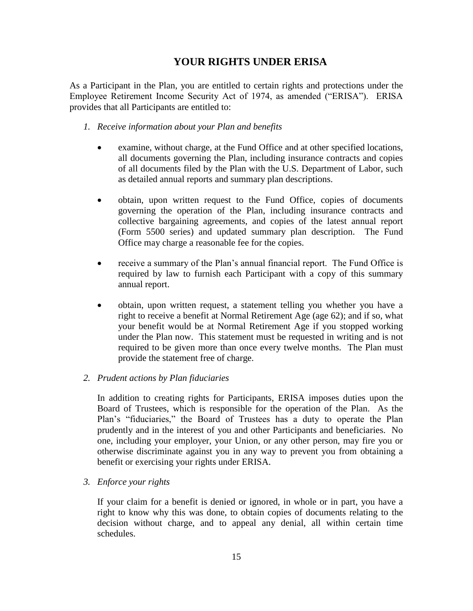# **YOUR RIGHTS UNDER ERISA**

As a Participant in the Plan, you are entitled to certain rights and protections under the Employee Retirement Income Security Act of 1974, as amended ("ERISA"). ERISA provides that all Participants are entitled to:

- *1. Receive information about your Plan and benefits*
	- examine, without charge, at the Fund Office and at other specified locations, all documents governing the Plan, including insurance contracts and copies of all documents filed by the Plan with the U.S. Department of Labor, such as detailed annual reports and summary plan descriptions.
	- obtain, upon written request to the Fund Office, copies of documents governing the operation of the Plan, including insurance contracts and collective bargaining agreements, and copies of the latest annual report (Form 5500 series) and updated summary plan description. The Fund Office may charge a reasonable fee for the copies.
	- receive a summary of the Plan's annual financial report. The Fund Office is required by law to furnish each Participant with a copy of this summary annual report.
	- obtain, upon written request, a statement telling you whether you have a right to receive a benefit at Normal Retirement Age (age 62); and if so, what your benefit would be at Normal Retirement Age if you stopped working under the Plan now. This statement must be requested in writing and is not required to be given more than once every twelve months. The Plan must provide the statement free of charge.

# <span id="page-16-0"></span>*2. Prudent actions by Plan fiduciaries*

In addition to creating rights for Participants, ERISA imposes duties upon the Board of Trustees, which is responsible for the operation of the Plan. As the Plan's "fiduciaries," the Board of Trustees has a duty to operate the Plan prudently and in the interest of you and other Participants and beneficiaries. No one, including your employer, your Union, or any other person, may fire you or otherwise discriminate against you in any way to prevent you from obtaining a benefit or exercising your rights under ERISA.

*3. Enforce your rights*

If your claim for a benefit is denied or ignored, in whole or in part, you have a right to know why this was done, to obtain copies of documents relating to the decision without charge, and to appeal any denial, all within certain time schedules.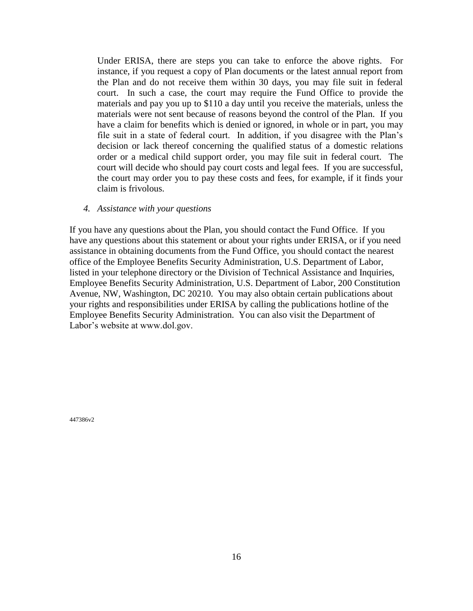<span id="page-17-0"></span>Under ERISA, there are steps you can take to enforce the above rights. For instance, if you request a copy of Plan documents or the latest annual report from the Plan and do not receive them within 30 days, you may file suit in federal court. In such a case, the court may require the Fund Office to provide the materials and pay you up to \$110 a day until you receive the materials, unless the materials were not sent because of reasons beyond the control of the Plan. If you have a claim for benefits which is denied or ignored, in whole or in part, you may file suit in a state of federal court. In addition, if you disagree with the Plan's decision or lack thereof concerning the qualified status of a domestic relations order or a medical child support order, you may file suit in federal court. The court will decide who should pay court costs and legal fees. If you are successful, the court may order you to pay these costs and fees, for example, if it finds your claim is frivolous.

#### <span id="page-17-1"></span>*4. Assistance with your questions*

If you have any questions about the Plan, you should contact the Fund Office. If you have any questions about this statement or about your rights under ERISA, or if you need assistance in obtaining documents from the Fund Office, you should contact the nearest office of the Employee Benefits Security Administration, U.S. Department of Labor, listed in your telephone directory or the Division of Technical Assistance and Inquiries, Employee Benefits Security Administration, U.S. Department of Labor, 200 Constitution Avenue, NW, Washington, DC 20210. You may also obtain certain publications about your rights and responsibilities under ERISA by calling the publications hotline of the Employee Benefits Security Administration. You can also visit the Department of Labor's website at www.dol.gov.

447386v2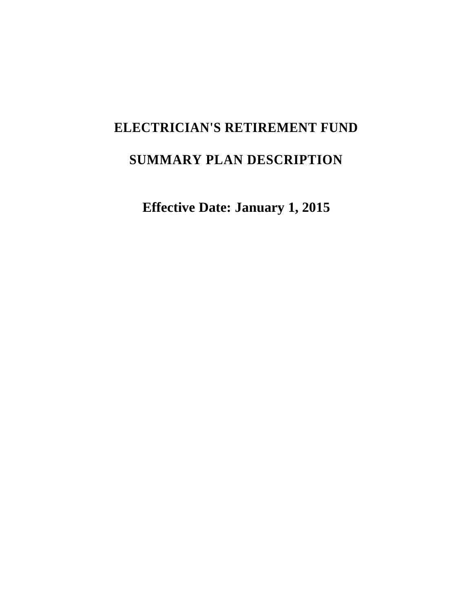# <span id="page-18-0"></span>**ELECTRICIAN'S RETIREMENT FUND SUMMARY PLAN DESCRIPTION**

<span id="page-18-2"></span><span id="page-18-1"></span>**Effective Date: January 1, 2015**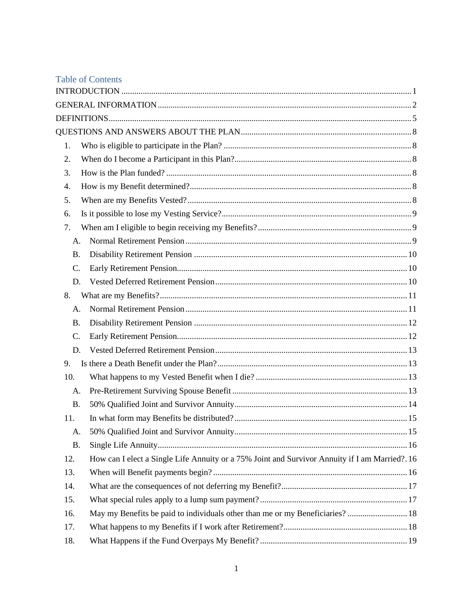<span id="page-19-1"></span><span id="page-19-0"></span>

|           | <b>Table of Contents</b>                                                                       |  |
|-----------|------------------------------------------------------------------------------------------------|--|
|           |                                                                                                |  |
|           |                                                                                                |  |
|           |                                                                                                |  |
|           |                                                                                                |  |
| 1.        |                                                                                                |  |
| 2.        |                                                                                                |  |
| 3.        |                                                                                                |  |
| 4.        |                                                                                                |  |
| 5.        |                                                                                                |  |
| 6.        |                                                                                                |  |
| 7.        |                                                                                                |  |
| A.        |                                                                                                |  |
| <b>B.</b> |                                                                                                |  |
| C.        |                                                                                                |  |
| D.        |                                                                                                |  |
| 8.        |                                                                                                |  |
| A.        |                                                                                                |  |
| <b>B.</b> |                                                                                                |  |
| C.        |                                                                                                |  |
| D.        |                                                                                                |  |
| 9.        |                                                                                                |  |
| 10.       |                                                                                                |  |
| A.        |                                                                                                |  |
| <b>B.</b> |                                                                                                |  |
| 11        | 15                                                                                             |  |
| А.        |                                                                                                |  |
| <b>B.</b> |                                                                                                |  |
| 12.       | How can I elect a Single Life Annuity or a 75% Joint and Survivor Annuity if I am Married?. 16 |  |
| 13.       |                                                                                                |  |
| 14.       |                                                                                                |  |
| 15.       |                                                                                                |  |
| 16.       | May my Benefits be paid to individuals other than me or my Beneficiaries? 18                   |  |
| 17.       |                                                                                                |  |
| 18.       |                                                                                                |  |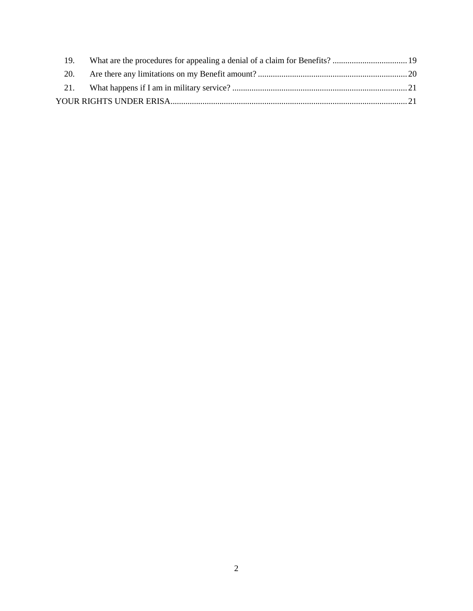<span id="page-20-1"></span><span id="page-20-0"></span>

| 19. |  |
|-----|--|
|     |  |
|     |  |
|     |  |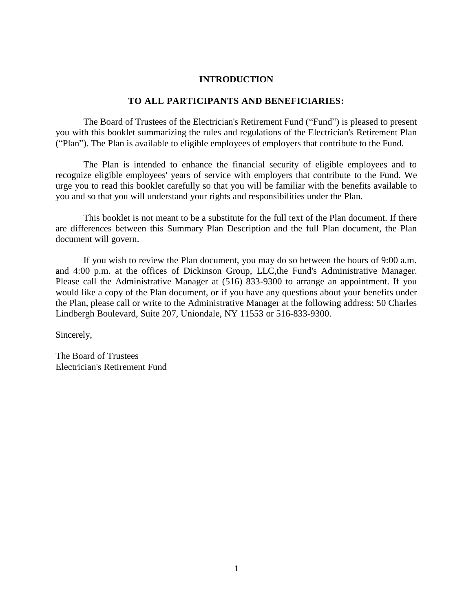#### **INTRODUCTION**

# **TO ALL PARTICIPANTS AND BENEFICIARIES:**

The Board of Trustees of the Electrician's Retirement Fund ("Fund") is pleased to present you with this booklet summarizing the rules and regulations of the Electrician's Retirement Plan ("Plan"). The Plan is available to eligible employees of employers that contribute to the Fund.

The Plan is intended to enhance the financial security of eligible employees and to recognize eligible employees' years of service with employers that contribute to the Fund. We urge you to read this booklet carefully so that you will be familiar with the benefits available to you and so that you will understand your rights and responsibilities under the Plan.

This booklet is not meant to be a substitute for the full text of the Plan document. If there are differences between this Summary Plan Description and the full Plan document, the Plan document will govern.

<span id="page-21-0"></span>If you wish to review the Plan document, you may do so between the hours of 9:00 a.m. and 4:00 p.m. at the offices of Dickinson Group, LLC,the Fund's Administrative Manager. Please call the Administrative Manager at (516) 833-9300 to arrange an appointment. If you would like a copy of the Plan document, or if you have any questions about your benefits under the Plan, please call or write to the Administrative Manager at the following address: 50 Charles Lindbergh Boulevard, Suite 207, Uniondale, NY 11553 or 516-833-9300.

Sincerely,

<span id="page-21-1"></span>The Board of Trustees Electrician's Retirement Fund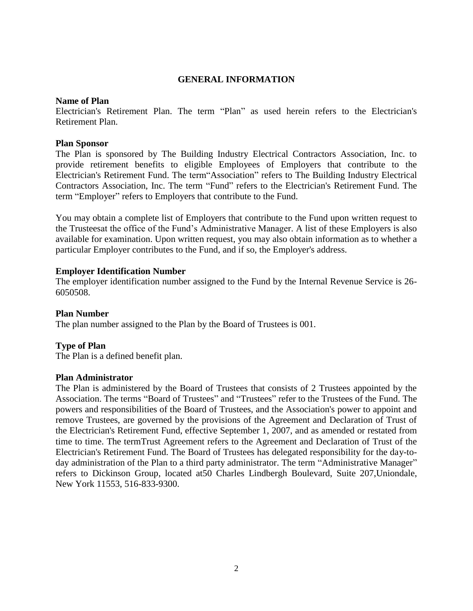# **GENERAL INFORMATION**

# **Name of Plan**

Electrician's Retirement Plan. The term "Plan" as used herein refers to the Electrician's Retirement Plan.

# **Plan Sponsor**

The Plan is sponsored by The Building Industry Electrical Contractors Association, Inc. to provide retirement benefits to eligible Employees of Employers that contribute to the Electrician's Retirement Fund. The term"Association" refers to The Building Industry Electrical Contractors Association, Inc. The term "Fund" refers to the Electrician's Retirement Fund. The term "Employer" refers to Employers that contribute to the Fund.

You may obtain a complete list of Employers that contribute to the Fund upon written request to the Trusteesat the office of the Fund's Administrative Manager. A list of these Employers is also available for examination. Upon written request, you may also obtain information as to whether a particular Employer contributes to the Fund, and if so, the Employer's address.

# **Employer Identification Number**

The employer identification number assigned to the Fund by the Internal Revenue Service is 26- 6050508.

# **Plan Number**

The plan number assigned to the Plan by the Board of Trustees is 001.

# **Type of Plan**

The Plan is a defined benefit plan.

# **Plan Administrator**

<span id="page-22-0"></span>The Plan is administered by the Board of Trustees that consists of 2 Trustees appointed by the Association. The terms "Board of Trustees" and "Trustees" refer to the Trustees of the Fund. The powers and responsibilities of the Board of Trustees, and the Association's power to appoint and remove Trustees, are governed by the provisions of the Agreement and Declaration of Trust of the Electrician's Retirement Fund, effective September 1, 2007, and as amended or restated from time to time. The termTrust Agreement refers to the Agreement and Declaration of Trust of the Electrician's Retirement Fund. The Board of Trustees has delegated responsibility for the day-today administration of the Plan to a third party administrator. The term "Administrative Manager" refers to Dickinson Group, located at50 Charles Lindbergh Boulevard, Suite 207,Uniondale, New York 11553, 516-833-9300.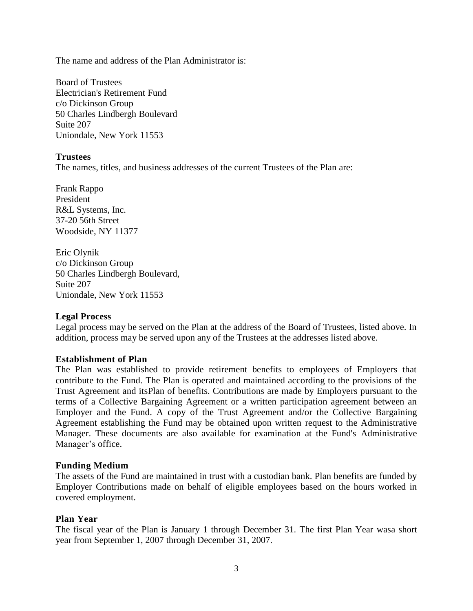<span id="page-23-0"></span>The name and address of the Plan Administrator is:

Board of Trustees Electrician's Retirement Fund c/o Dickinson Group 50 Charles Lindbergh Boulevard Suite 207 Uniondale, New York 11553

# **Trustees**

The names, titles, and business addresses of the current Trustees of the Plan are:

Frank Rappo President R&L Systems, Inc. 37-20 56th Street Woodside, NY 11377

Eric Olynik c/o Dickinson Group 50 Charles Lindbergh Boulevard, Suite 207 Uniondale, New York 11553

# **Legal Process**

Legal process may be served on the Plan at the address of the Board of Trustees, listed above. In addition, process may be served upon any of the Trustees at the addresses listed above.

# **Establishment of Plan**

The Plan was established to provide retirement benefits to employees of Employers that contribute to the Fund. The Plan is operated and maintained according to the provisions of the Trust Agreement and itsPlan of benefits. Contributions are made by Employers pursuant to the terms of a Collective Bargaining Agreement or a written participation agreement between an Employer and the Fund. A copy of the Trust Agreement and/or the Collective Bargaining Agreement establishing the Fund may be obtained upon written request to the Administrative Manager. These documents are also available for examination at the Fund's Administrative Manager's office.

# **Funding Medium**

<span id="page-23-1"></span>The assets of the Fund are maintained in trust with a custodian bank. Plan benefits are funded by Employer Contributions made on behalf of eligible employees based on the hours worked in covered employment.

# **Plan Year**

The fiscal year of the Plan is January 1 through December 31. The first Plan Year wasa short year from September 1, 2007 through December 31, 2007.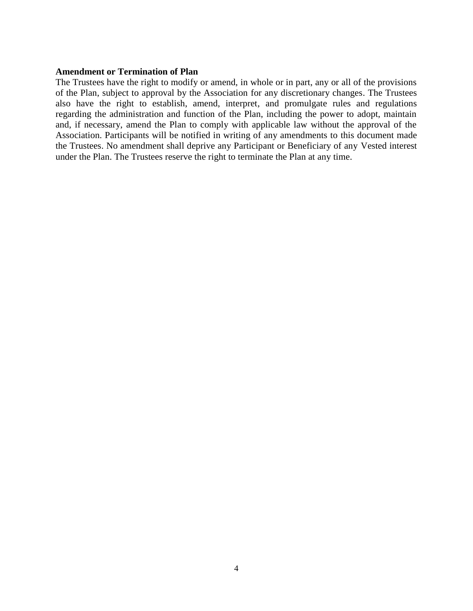#### **Amendment or Termination of Plan**

The Trustees have the right to modify or amend, in whole or in part, any or all of the provisions of the Plan, subject to approval by the Association for any discretionary changes. The Trustees also have the right to establish, amend, interpret, and promulgate rules and regulations regarding the administration and function of the Plan, including the power to adopt, maintain and, if necessary, amend the Plan to comply with applicable law without the approval of the Association. Participants will be notified in writing of any amendments to this document made the Trustees. No amendment shall deprive any Participant or Beneficiary of any Vested interest under the Plan. The Trustees reserve the right to terminate the Plan at any time.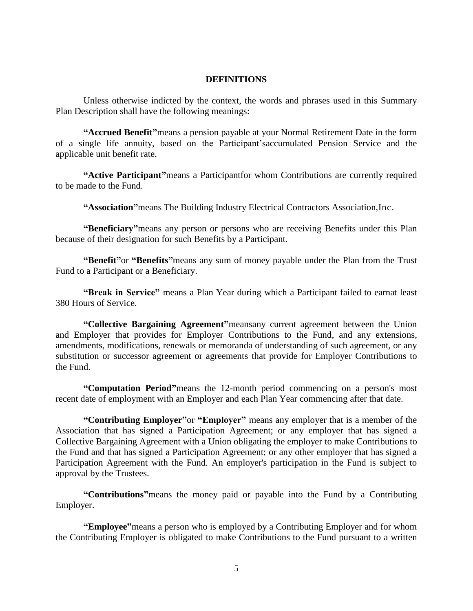#### **DEFINITIONS**

Unless otherwise indicted by the context, the words and phrases used in this Summary Plan Description shall have the following meanings:

**"Accrued Benefit"**means a pension payable at your Normal Retirement Date in the form of a single life annuity, based on the Participant'saccumulated Pension Service and the applicable unit benefit rate.

**"Active Participant"**means a Participantfor whom Contributions are currently required to be made to the Fund.

**"Association"**means The Building Industry Electrical Contractors Association,Inc.

**"Beneficiary"**means any person or persons who are receiving Benefits under this Plan because of their designation for such Benefits by a Participant.

**"Benefit"**or **"Benefits"**means any sum of money payable under the Plan from the Trust Fund to a Participant or a Beneficiary.

**"Break in Service"** means a Plan Year during which a Participant failed to earnat least 380 Hours of Service.

**"Collective Bargaining Agreement"**meansany current agreement between the Union and Employer that provides for Employer Contributions to the Fund, and any extensions, amendments, modifications, renewals or memoranda of understanding of such agreement, or any substitution or successor agreement or agreements that provide for Employer Contributions to the Fund.

**"Computation Period"**means the 12-month period commencing on a person's most recent date of employment with an Employer and each Plan Year commencing after that date.

**"Contributing Employer"**or **"Employer"** means any employer that is a member of the Association that has signed a Participation Agreement; or any employer that has signed a Collective Bargaining Agreement with a Union obligating the employer to make Contributions to the Fund and that has signed a Participation Agreement; or any other employer that has signed a Participation Agreement with the Fund. An employer's participation in the Fund is subject to approval by the Trustees.

**"Contributions"**means the money paid or payable into the Fund by a Contributing Employer.

**"Employee"**means a person who is employed by a Contributing Employer and for whom the Contributing Employer is obligated to make Contributions to the Fund pursuant to a written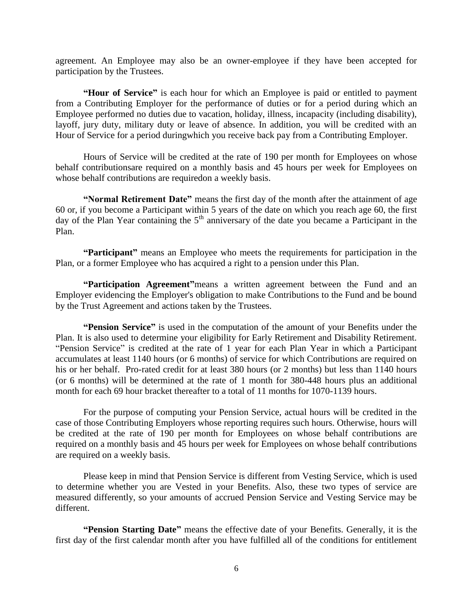agreement. An Employee may also be an owner-employee if they have been accepted for participation by the Trustees.

**"Hour of Service"** is each hour for which an Employee is paid or entitled to payment from a Contributing Employer for the performance of duties or for a period during which an Employee performed no duties due to vacation, holiday, illness, incapacity (including disability), layoff, jury duty, military duty or leave of absence. In addition, you will be credited with an Hour of Service for a period duringwhich you receive back pay from a Contributing Employer.

Hours of Service will be credited at the rate of 190 per month for Employees on whose behalf contributionsare required on a monthly basis and 45 hours per week for Employees on whose behalf contributions are requiredon a weekly basis.

**"Normal Retirement Date"** means the first day of the month after the attainment of age 60 or, if you become a Participant within 5 years of the date on which you reach age 60, the first day of the Plan Year containing the  $5<sup>th</sup>$  anniversary of the date you became a Participant in the Plan.

**"Participant"** means an Employee who meets the requirements for participation in the Plan, or a former Employee who has acquired a right to a pension under this Plan.

**"Participation Agreement"**means a written agreement between the Fund and an Employer evidencing the Employer's obligation to make Contributions to the Fund and be bound by the Trust Agreement and actions taken by the Trustees.

**"Pension Service"** is used in the computation of the amount of your Benefits under the Plan. It is also used to determine your eligibility for Early Retirement and Disability Retirement. "Pension Service" is credited at the rate of 1 year for each Plan Year in which a Participant accumulates at least 1140 hours (or 6 months) of service for which Contributions are required on his or her behalf. Pro-rated credit for at least 380 hours (or 2 months) but less than 1140 hours (or 6 months) will be determined at the rate of 1 month for 380-448 hours plus an additional month for each 69 hour bracket thereafter to a total of 11 months for 1070-1139 hours.

For the purpose of computing your Pension Service, actual hours will be credited in the case of those Contributing Employers whose reporting requires such hours. Otherwise, hours will be credited at the rate of 190 per month for Employees on whose behalf contributions are required on a monthly basis and 45 hours per week for Employees on whose behalf contributions are required on a weekly basis.

Please keep in mind that Pension Service is different from Vesting Service, which is used to determine whether you are Vested in your Benefits. Also, these two types of service are measured differently, so your amounts of accrued Pension Service and Vesting Service may be different.

**"Pension Starting Date"** means the effective date of your Benefits. Generally, it is the first day of the first calendar month after you have fulfilled all of the conditions for entitlement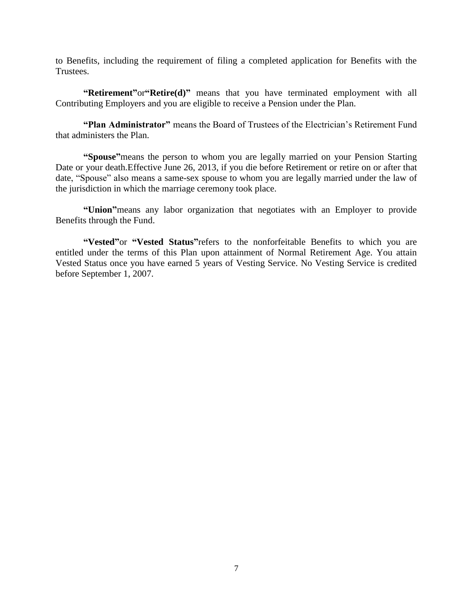to Benefits, including the requirement of filing a completed application for Benefits with the Trustees.

**"Retirement"**or**"Retire(d)"** means that you have terminated employment with all Contributing Employers and you are eligible to receive a Pension under the Plan.

**"Plan Administrator"** means the Board of Trustees of the Electrician's Retirement Fund that administers the Plan.

**"Spouse"**means the person to whom you are legally married on your Pension Starting Date or your death.Effective June 26, 2013, if you die before Retirement or retire on or after that date, "Spouse" also means a same-sex spouse to whom you are legally married under the law of the jurisdiction in which the marriage ceremony took place.

**"Union"**means any labor organization that negotiates with an Employer to provide Benefits through the Fund.

**"Vested"**or **"Vested Status"**refers to the nonforfeitable Benefits to which you are entitled under the terms of this Plan upon attainment of Normal Retirement Age. You attain Vested Status once you have earned 5 years of Vesting Service. No Vesting Service is credited before September 1, 2007.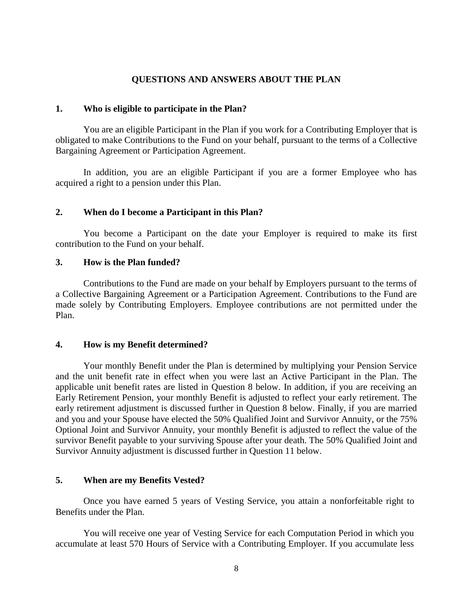# **QUESTIONS AND ANSWERS ABOUT THE PLAN**

#### **1. Who is eligible to participate in the Plan?**

You are an eligible Participant in the Plan if you work for a Contributing Employer that is obligated to make Contributions to the Fund on your behalf, pursuant to the terms of a Collective Bargaining Agreement or Participation Agreement.

In addition, you are an eligible Participant if you are a former Employee who has acquired a right to a pension under this Plan.

# **2. When do I become a Participant in this Plan?**

You become a Participant on the date your Employer is required to make its first contribution to the Fund on your behalf.

# **3. How is the Plan funded?**

Contributions to the Fund are made on your behalf by Employers pursuant to the terms of a Collective Bargaining Agreement or a Participation Agreement. Contributions to the Fund are made solely by Contributing Employers. Employee contributions are not permitted under the Plan.

# **4. How is my Benefit determined?**

Your monthly Benefit under the Plan is determined by multiplying your Pension Service and the unit benefit rate in effect when you were last an Active Participant in the Plan. The applicable unit benefit rates are listed in Question 8 below. In addition, if you are receiving an Early Retirement Pension, your monthly Benefit is adjusted to reflect your early retirement. The early retirement adjustment is discussed further in Question 8 below. Finally, if you are married and you and your Spouse have elected the 50% Qualified Joint and Survivor Annuity, or the 75% Optional Joint and Survivor Annuity, your monthly Benefit is adjusted to reflect the value of the survivor Benefit payable to your surviving Spouse after your death. The 50% Qualified Joint and Survivor Annuity adjustment is discussed further in Question 11 below.

# **5. When are my Benefits Vested?**

Once you have earned 5 years of Vesting Service, you attain a nonforfeitable right to Benefits under the Plan.

You will receive one year of Vesting Service for each Computation Period in which you accumulate at least 570 Hours of Service with a Contributing Employer. If you accumulate less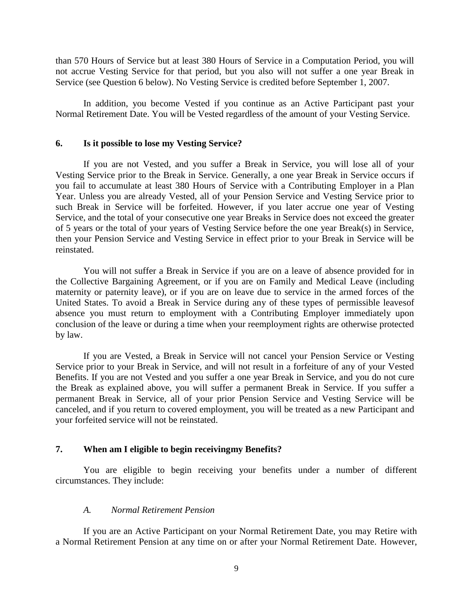than 570 Hours of Service but at least 380 Hours of Service in a Computation Period, you will not accrue Vesting Service for that period, but you also will not suffer a one year Break in Service (see Question 6 below). No Vesting Service is credited before September 1, 2007.

In addition, you become Vested if you continue as an Active Participant past your Normal Retirement Date. You will be Vested regardless of the amount of your Vesting Service.

#### **6. Is it possible to lose my Vesting Service?**

If you are not Vested, and you suffer a Break in Service, you will lose all of your Vesting Service prior to the Break in Service. Generally, a one year Break in Service occurs if you fail to accumulate at least 380 Hours of Service with a Contributing Employer in a Plan Year. Unless you are already Vested, all of your Pension Service and Vesting Service prior to such Break in Service will be forfeited. However, if you later accrue one year of Vesting Service, and the total of your consecutive one year Breaks in Service does not exceed the greater of 5 years or the total of your years of Vesting Service before the one year Break(s) in Service, then your Pension Service and Vesting Service in effect prior to your Break in Service will be reinstated.

You will not suffer a Break in Service if you are on a leave of absence provided for in the Collective Bargaining Agreement, or if you are on Family and Medical Leave (including maternity or paternity leave), or if you are on leave due to service in the armed forces of the United States. To avoid a Break in Service during any of these types of permissible leavesof absence you must return to employment with a Contributing Employer immediately upon conclusion of the leave or during a time when your reemployment rights are otherwise protected by law.

If you are Vested, a Break in Service will not cancel your Pension Service or Vesting Service prior to your Break in Service, and will not result in a forfeiture of any of your Vested Benefits. If you are not Vested and you suffer a one year Break in Service, and you do not cure the Break as explained above, you will suffer a permanent Break in Service. If you suffer a permanent Break in Service, all of your prior Pension Service and Vesting Service will be canceled, and if you return to covered employment, you will be treated as a new Participant and your forfeited service will not be reinstated.

# **7. When am I eligible to begin receivingmy Benefits?**

You are eligible to begin receiving your benefits under a number of different circumstances. They include:

#### *A. Normal Retirement Pension*

If you are an Active Participant on your Normal Retirement Date, you may Retire with a Normal Retirement Pension at any time on or after your Normal Retirement Date. However,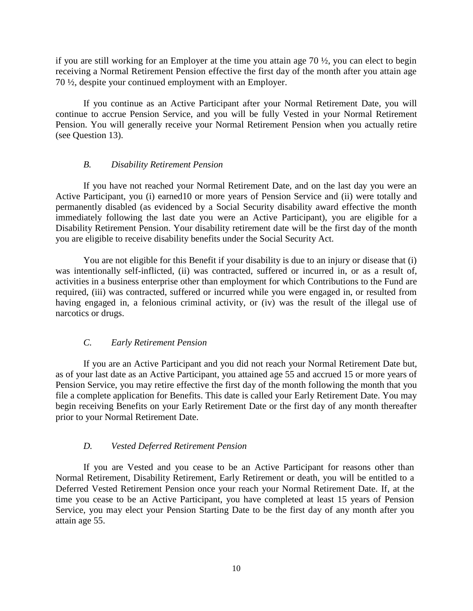if you are still working for an Employer at the time you attain age 70 ½, you can elect to begin receiving a Normal Retirement Pension effective the first day of the month after you attain age 70 ½, despite your continued employment with an Employer.

If you continue as an Active Participant after your Normal Retirement Date, you will continue to accrue Pension Service, and you will be fully Vested in your Normal Retirement Pension. You will generally receive your Normal Retirement Pension when you actually retire (see Question 13).

# *B. Disability Retirement Pension*

If you have not reached your Normal Retirement Date, and on the last day you were an Active Participant, you (i) earned10 or more years of Pension Service and (ii) were totally and permanently disabled (as evidenced by a Social Security disability award effective the month immediately following the last date you were an Active Participant), you are eligible for a Disability Retirement Pension. Your disability retirement date will be the first day of the month you are eligible to receive disability benefits under the Social Security Act.

You are not eligible for this Benefit if your disability is due to an injury or disease that (i) was intentionally self-inflicted, (ii) was contracted, suffered or incurred in, or as a result of, activities in a business enterprise other than employment for which Contributions to the Fund are required, (iii) was contracted, suffered or incurred while you were engaged in, or resulted from having engaged in, a felonious criminal activity, or (iv) was the result of the illegal use of narcotics or drugs.

# *C. Early Retirement Pension*

If you are an Active Participant and you did not reach your Normal Retirement Date but, as of your last date as an Active Participant, you attained age 55 and accrued 15 or more years of Pension Service, you may retire effective the first day of the month following the month that you file a complete application for Benefits. This date is called your Early Retirement Date. You may begin receiving Benefits on your Early Retirement Date or the first day of any month thereafter prior to your Normal Retirement Date.

# *D. Vested Deferred Retirement Pension*

If you are Vested and you cease to be an Active Participant for reasons other than Normal Retirement, Disability Retirement, Early Retirement or death, you will be entitled to a Deferred Vested Retirement Pension once your reach your Normal Retirement Date. If, at the time you cease to be an Active Participant, you have completed at least 15 years of Pension Service, you may elect your Pension Starting Date to be the first day of any month after you attain age 55.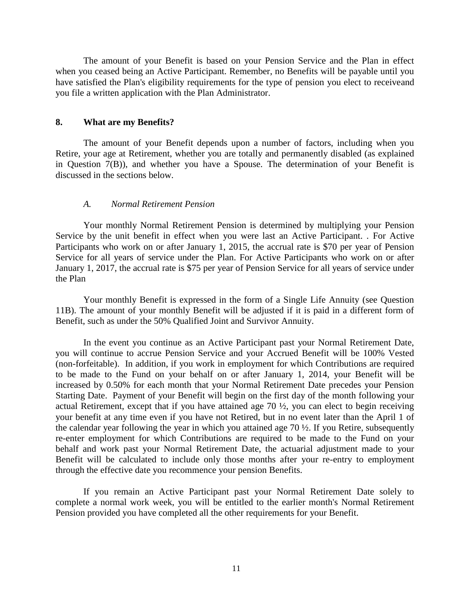The amount of your Benefit is based on your Pension Service and the Plan in effect when you ceased being an Active Participant. Remember, no Benefits will be payable until you have satisfied the Plan's eligibility requirements for the type of pension you elect to receiveand you file a written application with the Plan Administrator.

#### **8. What are my Benefits?**

The amount of your Benefit depends upon a number of factors, including when you Retire, your age at Retirement, whether you are totally and permanently disabled (as explained in Question 7(B)), and whether you have a Spouse. The determination of your Benefit is discussed in the sections below.

#### *A. Normal Retirement Pension*

Your monthly Normal Retirement Pension is determined by multiplying your Pension Service by the unit benefit in effect when you were last an Active Participant. . For Active Participants who work on or after January 1, 2015, the accrual rate is \$70 per year of Pension Service for all years of service under the Plan. For Active Participants who work on or after January 1, 2017, the accrual rate is \$75 per year of Pension Service for all years of service under the Plan

Your monthly Benefit is expressed in the form of a Single Life Annuity (see Question 11B). The amount of your monthly Benefit will be adjusted if it is paid in a different form of Benefit, such as under the 50% Qualified Joint and Survivor Annuity.

In the event you continue as an Active Participant past your Normal Retirement Date, you will continue to accrue Pension Service and your Accrued Benefit will be 100% Vested (non-forfeitable). In addition, if you work in employment for which Contributions are required to be made to the Fund on your behalf on or after January 1, 2014, your Benefit will be increased by 0.50% for each month that your Normal Retirement Date precedes your Pension Starting Date. Payment of your Benefit will begin on the first day of the month following your actual Retirement, except that if you have attained age 70 ½, you can elect to begin receiving your benefit at any time even if you have not Retired, but in no event later than the April 1 of the calendar year following the year in which you attained age 70 ½. If you Retire, subsequently re-enter employment for which Contributions are required to be made to the Fund on your behalf and work past your Normal Retirement Date, the actuarial adjustment made to your Benefit will be calculated to include only those months after your re-entry to employment through the effective date you recommence your pension Benefits.

If you remain an Active Participant past your Normal Retirement Date solely to complete a normal work week, you will be entitled to the earlier month's Normal Retirement Pension provided you have completed all the other requirements for your Benefit.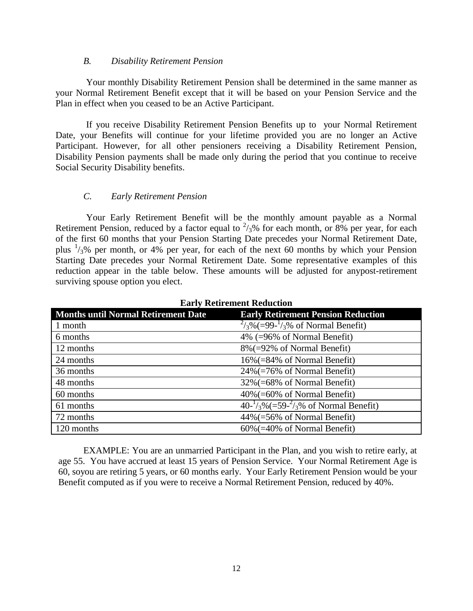# *B. Disability Retirement Pension*

Your monthly Disability Retirement Pension shall be determined in the same manner as your Normal Retirement Benefit except that it will be based on your Pension Service and the Plan in effect when you ceased to be an Active Participant.

If you receive Disability Retirement Pension Benefits up to your Normal Retirement Date, your Benefits will continue for your lifetime provided you are no longer an Active Participant. However, for all other pensioners receiving a Disability Retirement Pension, Disability Pension payments shall be made only during the period that you continue to receive Social Security Disability benefits.

# *C. Early Retirement Pension*

Your Early Retirement Benefit will be the monthly amount payable as a Normal Retirement Pension, reduced by a factor equal to  $\frac{2}{3}$ % for each month, or 8% per year, for each of the first 60 months that your Pension Starting Date precedes your Normal Retirement Date, plus  $\frac{1}{3}$ % per month, or 4% per year, for each of the next 60 months by which your Pension Starting Date precedes your Normal Retirement Date. Some representative examples of this reduction appear in the table below. These amounts will be adjusted for anypost-retirement surviving spouse option you elect.

| <b>Months until Normal Retirement Date</b> | <b>Early Retirement Pension Reduction</b>                                   |
|--------------------------------------------|-----------------------------------------------------------------------------|
| 1 month                                    | $\frac{2}{3}\% (=99^{-1}\frac{1}{3}\% \text{ of Normal Benefits})$          |
| 6 months                                   | 4% (=96% of Normal Benefit)                                                 |
| 12 months                                  | $8\%$ (=92% of Normal Benefit)                                              |
| 24 months                                  | 16%(=84% of Normal Benefit)                                                 |
| 36 months                                  | $24\%$ (=76% of Normal Benefit)                                             |
| 48 months                                  | 32% (=68% of Normal Benefit)                                                |
| 60 months                                  | $40\%$ (=60% of Normal Benefit)                                             |
| 61 months                                  | $40^{-1}/\sqrt[3]{6}$ (=59 <sup>-2</sup> / $\sqrt[3]{6}$ of Normal Benefit) |
| 72 months                                  | $44\%$ (=56% of Normal Benefit)                                             |
| 120 months                                 | $60\%$ (=40% of Normal Benefit)                                             |

**Early Retirement Reduction**

EXAMPLE: You are an unmarried Participant in the Plan, and you wish to retire early, at age 55. You have accrued at least 15 years of Pension Service. Your Normal Retirement Age is 60, soyou are retiring 5 years, or 60 months early. Your Early Retirement Pension would be your Benefit computed as if you were to receive a Normal Retirement Pension, reduced by 40%.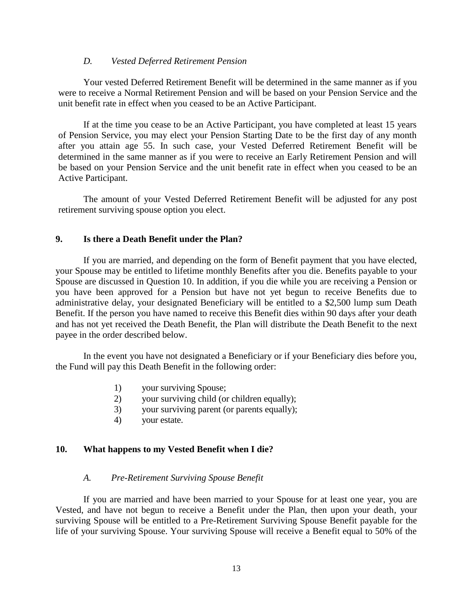# *D. Vested Deferred Retirement Pension*

Your vested Deferred Retirement Benefit will be determined in the same manner as if you were to receive a Normal Retirement Pension and will be based on your Pension Service and the unit benefit rate in effect when you ceased to be an Active Participant.

If at the time you cease to be an Active Participant, you have completed at least 15 years of Pension Service, you may elect your Pension Starting Date to be the first day of any month after you attain age 55. In such case, your Vested Deferred Retirement Benefit will be determined in the same manner as if you were to receive an Early Retirement Pension and will be based on your Pension Service and the unit benefit rate in effect when you ceased to be an Active Participant.

The amount of your Vested Deferred Retirement Benefit will be adjusted for any post retirement surviving spouse option you elect.

# **9. Is there a Death Benefit under the Plan?**

If you are married, and depending on the form of Benefit payment that you have elected, your Spouse may be entitled to lifetime monthly Benefits after you die. Benefits payable to your Spouse are discussed in Question 10. In addition, if you die while you are receiving a Pension or you have been approved for a Pension but have not yet begun to receive Benefits due to administrative delay, your designated Beneficiary will be entitled to a \$2,500 lump sum Death Benefit. If the person you have named to receive this Benefit dies within 90 days after your death and has not yet received the Death Benefit, the Plan will distribute the Death Benefit to the next payee in the order described below.

In the event you have not designated a Beneficiary or if your Beneficiary dies before you, the Fund will pay this Death Benefit in the following order:

- 1) your surviving Spouse;
- 2) your surviving child (or children equally);
- 3) your surviving parent (or parents equally);
- 4) your estate.

# **10. What happens to my Vested Benefit when I die?**

# *A. Pre-Retirement Surviving Spouse Benefit*

If you are married and have been married to your Spouse for at least one year, you are Vested, and have not begun to receive a Benefit under the Plan, then upon your death, your surviving Spouse will be entitled to a Pre-Retirement Surviving Spouse Benefit payable for the life of your surviving Spouse. Your surviving Spouse will receive a Benefit equal to 50% of the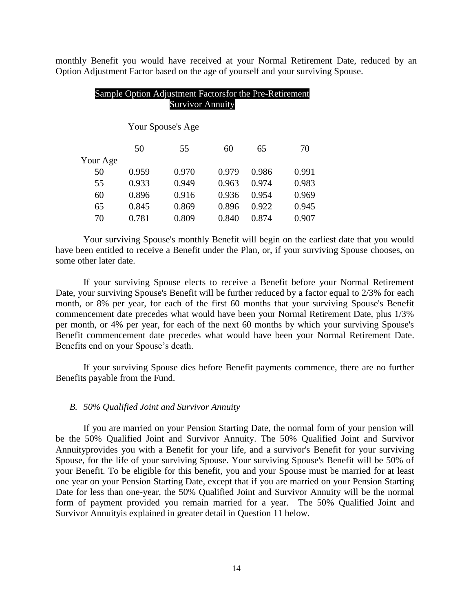monthly Benefit you would have received at your Normal Retirement Date, reduced by an Option Adjustment Factor based on the age of yourself and your surviving Spouse.

# Sample Option Adjustment Factorsfor the Pre-Retirement Survivor Annuity Your Spouse's Age 50 55 60 65 70 Your Age 50 0.959 0.970 0.979 0.986 0.991 55 0.933 0.949 0.963 0.974 0.983 60 0.896 0.916 0.936 0.954 0.969 65 0.845 0.869 0.896 0.922 0.945 70 0.781 0.809 0.840 0.874 0.907

Your surviving Spouse's monthly Benefit will begin on the earliest date that you would have been entitled to receive a Benefit under the Plan, or, if your surviving Spouse chooses, on some other later date.

If your surviving Spouse elects to receive a Benefit before your Normal Retirement Date, your surviving Spouse's Benefit will be further reduced by a factor equal to 2/3% for each month, or 8% per year, for each of the first 60 months that your surviving Spouse's Benefit commencement date precedes what would have been your Normal Retirement Date, plus 1/3% per month, or 4% per year, for each of the next 60 months by which your surviving Spouse's Benefit commencement date precedes what would have been your Normal Retirement Date. Benefits end on your Spouse's death.

If your surviving Spouse dies before Benefit payments commence, there are no further Benefits payable from the Fund.

## *B. 50% Qualified Joint and Survivor Annuity*

If you are married on your Pension Starting Date, the normal form of your pension will be the 50% Qualified Joint and Survivor Annuity. The 50% Qualified Joint and Survivor Annuityprovides you with a Benefit for your life, and a survivor's Benefit for your surviving Spouse, for the life of your surviving Spouse. Your surviving Spouse's Benefit will be 50% of your Benefit. To be eligible for this benefit, you and your Spouse must be married for at least one year on your Pension Starting Date, except that if you are married on your Pension Starting Date for less than one-year, the 50% Qualified Joint and Survivor Annuity will be the normal form of payment provided you remain married for a year. The 50% Qualified Joint and Survivor Annuityis explained in greater detail in Question 11 below.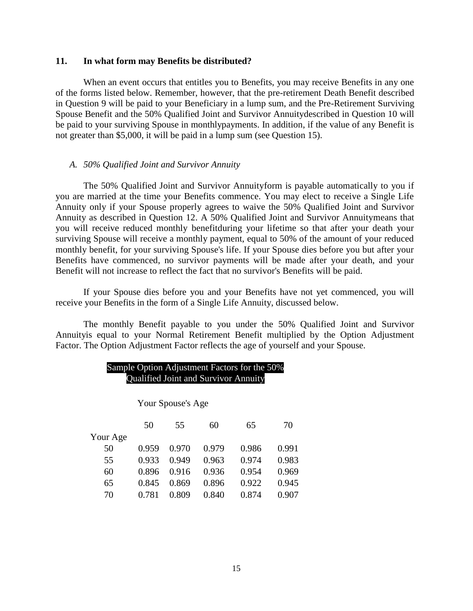# **11. In what form may Benefits be distributed?**

When an event occurs that entitles you to Benefits, you may receive Benefits in any one of the forms listed below. Remember, however, that the pre-retirement Death Benefit described in Question 9 will be paid to your Beneficiary in a lump sum, and the Pre-Retirement Surviving Spouse Benefit and the 50% Qualified Joint and Survivor Annuitydescribed in Question 10 will be paid to your surviving Spouse in monthlypayments. In addition, if the value of any Benefit is not greater than \$5,000, it will be paid in a lump sum (see Question 15).

#### *A. 50% Qualified Joint and Survivor Annuity*

The 50% Qualified Joint and Survivor Annuityform is payable automatically to you if you are married at the time your Benefits commence. You may elect to receive a Single Life Annuity only if your Spouse properly agrees to waive the 50% Qualified Joint and Survivor Annuity as described in Question 12. A 50% Qualified Joint and Survivor Annuitymeans that you will receive reduced monthly benefitduring your lifetime so that after your death your surviving Spouse will receive a monthly payment, equal to 50% of the amount of your reduced monthly benefit, for your surviving Spouse's life. If your Spouse dies before you but after your Benefits have commenced, no survivor payments will be made after your death, and your Benefit will not increase to reflect the fact that no survivor's Benefits will be paid.

If your Spouse dies before you and your Benefits have not yet commenced, you will receive your Benefits in the form of a Single Life Annuity, discussed below.

The monthly Benefit payable to you under the 50% Qualified Joint and Survivor Annuityis equal to your Normal Retirement Benefit multiplied by the Option Adjustment Factor. The Option Adjustment Factor reflects the age of yourself and your Spouse.

# Sample Option Adjustment Factors for the 50% Qualified Joint and Survivor Annuity

Your Spouse's Age

|          | 50    | 55    | 60    | 65    | 70    |
|----------|-------|-------|-------|-------|-------|
| Your Age |       |       |       |       |       |
| 50       | 0.959 | 0.970 | 0.979 | 0.986 | 0.991 |
| 55       | 0.933 | 0.949 | 0.963 | 0.974 | 0.983 |
| 60       | 0.896 | 0.916 | 0.936 | 0.954 | 0.969 |
| 65       | 0.845 | 0.869 | 0.896 | 0.922 | 0.945 |
| 70       | 0.781 | 0.809 | 0.840 | 0.874 | 0.907 |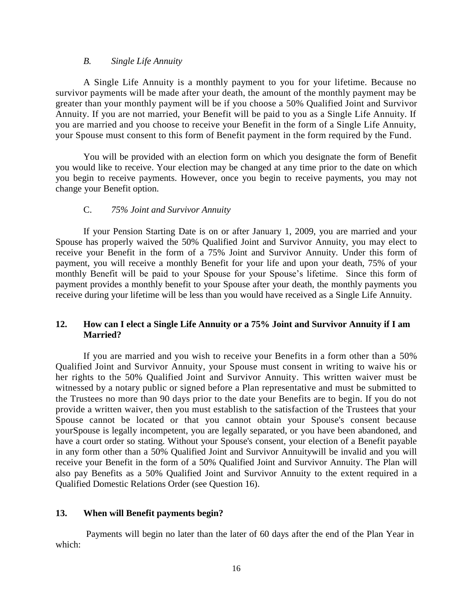# *B. Single Life Annuity*

A Single Life Annuity is a monthly payment to you for your lifetime. Because no survivor payments will be made after your death, the amount of the monthly payment may be greater than your monthly payment will be if you choose a 50% Qualified Joint and Survivor Annuity. If you are not married, your Benefit will be paid to you as a Single Life Annuity. If you are married and you choose to receive your Benefit in the form of a Single Life Annuity, your Spouse must consent to this form of Benefit payment in the form required by the Fund.

You will be provided with an election form on which you designate the form of Benefit you would like to receive. Your election may be changed at any time prior to the date on which you begin to receive payments. However, once you begin to receive payments, you may not change your Benefit option.

# C. *75% Joint and Survivor Annuity*

If your Pension Starting Date is on or after January 1, 2009, you are married and your Spouse has properly waived the 50% Qualified Joint and Survivor Annuity, you may elect to receive your Benefit in the form of a 75% Joint and Survivor Annuity. Under this form of payment, you will receive a monthly Benefit for your life and upon your death, 75% of your monthly Benefit will be paid to your Spouse for your Spouse's lifetime. Since this form of payment provides a monthly benefit to your Spouse after your death, the monthly payments you receive during your lifetime will be less than you would have received as a Single Life Annuity.

# **12. How can I elect a Single Life Annuity or a 75% Joint and Survivor Annuity if I am Married?**

If you are married and you wish to receive your Benefits in a form other than a 50% Qualified Joint and Survivor Annuity, your Spouse must consent in writing to waive his or her rights to the 50% Qualified Joint and Survivor Annuity. This written waiver must be witnessed by a notary public or signed before a Plan representative and must be submitted to the Trustees no more than 90 days prior to the date your Benefits are to begin. If you do not provide a written waiver, then you must establish to the satisfaction of the Trustees that your Spouse cannot be located or that you cannot obtain your Spouse's consent because yourSpouse is legally incompetent, you are legally separated, or you have been abandoned, and have a court order so stating. Without your Spouse's consent, your election of a Benefit payable in any form other than a 50% Qualified Joint and Survivor Annuitywill be invalid and you will receive your Benefit in the form of a 50% Qualified Joint and Survivor Annuity. The Plan will also pay Benefits as a 50% Qualified Joint and Survivor Annuity to the extent required in a Qualified Domestic Relations Order (see Question 16).

# **13. When will Benefit payments begin?**

Payments will begin no later than the later of 60 days after the end of the Plan Year in which: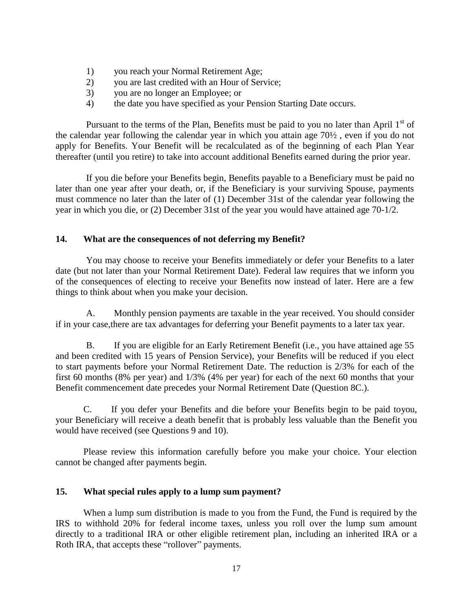- 1) you reach your Normal Retirement Age;
- 2) you are last credited with an Hour of Service;
- 3) you are no longer an Employee; or
- 4) the date you have specified as your Pension Starting Date occurs.

Pursuant to the terms of the Plan, Benefits must be paid to you no later than April  $1<sup>st</sup>$  of the calendar year following the calendar year in which you attain age 70½ , even if you do not apply for Benefits. Your Benefit will be recalculated as of the beginning of each Plan Year thereafter (until you retire) to take into account additional Benefits earned during the prior year.

If you die before your Benefits begin, Benefits payable to a Beneficiary must be paid no later than one year after your death, or, if the Beneficiary is your surviving Spouse, payments must commence no later than the later of (1) December 31st of the calendar year following the year in which you die, or (2) December 31st of the year you would have attained age 70-1/2.

# **14. What are the consequences of not deferring my Benefit?**

You may choose to receive your Benefits immediately or defer your Benefits to a later date (but not later than your Normal Retirement Date). Federal law requires that we inform you of the consequences of electing to receive your Benefits now instead of later. Here are a few things to think about when you make your decision.

A. Monthly pension payments are taxable in the year received. You should consider if in your case,there are tax advantages for deferring your Benefit payments to a later tax year.

B. If you are eligible for an Early Retirement Benefit (i.e., you have attained age 55 and been credited with 15 years of Pension Service), your Benefits will be reduced if you elect to start payments before your Normal Retirement Date. The reduction is 2/3% for each of the first 60 months (8% per year) and 1/3% (4% per year) for each of the next 60 months that your Benefit commencement date precedes your Normal Retirement Date (Question 8C.).

C. If you defer your Benefits and die before your Benefits begin to be paid toyou, your Beneficiary will receive a death benefit that is probably less valuable than the Benefit you would have received (see Questions 9 and 10).

Please review this information carefully before you make your choice. Your election cannot be changed after payments begin.

# **15. What special rules apply to a lump sum payment?**

When a lump sum distribution is made to you from the Fund, the Fund is required by the IRS to withhold 20% for federal income taxes, unless you roll over the lump sum amount directly to a traditional IRA or other eligible retirement plan, including an inherited IRA or a Roth IRA, that accepts these "rollover" payments.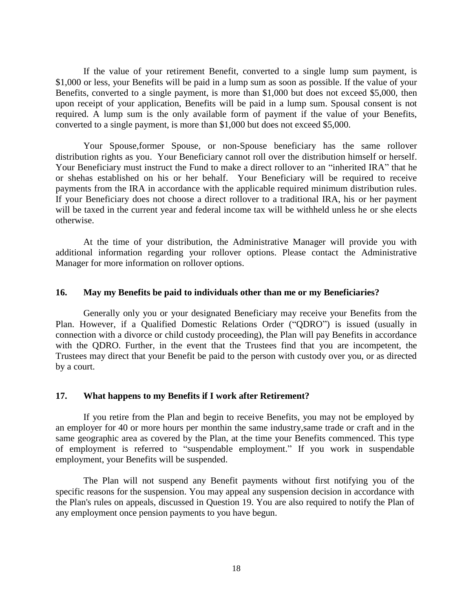If the value of your retirement Benefit, converted to a single lump sum payment, is \$1,000 or less, your Benefits will be paid in a lump sum as soon as possible. If the value of your Benefits, converted to a single payment, is more than \$1,000 but does not exceed \$5,000, then upon receipt of your application, Benefits will be paid in a lump sum. Spousal consent is not required. A lump sum is the only available form of payment if the value of your Benefits, converted to a single payment, is more than \$1,000 but does not exceed \$5,000.

Your Spouse,former Spouse, or non-Spouse beneficiary has the same rollover distribution rights as you. Your Beneficiary cannot roll over the distribution himself or herself. Your Beneficiary must instruct the Fund to make a direct rollover to an "inherited IRA" that he or shehas established on his or her behalf. Your Beneficiary will be required to receive payments from the IRA in accordance with the applicable required minimum distribution rules. If your Beneficiary does not choose a direct rollover to a traditional IRA, his or her payment will be taxed in the current year and federal income tax will be withheld unless he or she elects otherwise.

At the time of your distribution, the Administrative Manager will provide you with additional information regarding your rollover options. Please contact the Administrative Manager for more information on rollover options.

# **16. May my Benefits be paid to individuals other than me or my Beneficiaries?**

Generally only you or your designated Beneficiary may receive your Benefits from the Plan. However, if a Qualified Domestic Relations Order ("QDRO") is issued (usually in connection with a divorce or child custody proceeding), the Plan will pay Benefits in accordance with the QDRO. Further, in the event that the Trustees find that you are incompetent, the Trustees may direct that your Benefit be paid to the person with custody over you, or as directed by a court.

#### **17. What happens to my Benefits if I work after Retirement?**

If you retire from the Plan and begin to receive Benefits, you may not be employed by an employer for 40 or more hours per monthin the same industry,same trade or craft and in the same geographic area as covered by the Plan, at the time your Benefits commenced. This type of employment is referred to "suspendable employment." If you work in suspendable employment, your Benefits will be suspended.

The Plan will not suspend any Benefit payments without first notifying you of the specific reasons for the suspension. You may appeal any suspension decision in accordance with the Plan's rules on appeals, discussed in Question 19. You are also required to notify the Plan of any employment once pension payments to you have begun.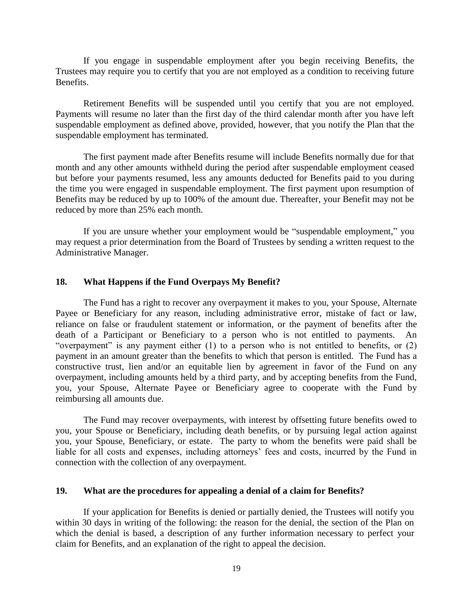If you engage in suspendable employment after you begin receiving Benefits, the Trustees may require you to certify that you are not employed as a condition to receiving future Benefits.

Retirement Benefits will be suspended until you certify that you are not employed. Payments will resume no later than the first day of the third calendar month after you have left suspendable employment as defined above, provided, however, that you notify the Plan that the suspendable employment has terminated.

The first payment made after Benefits resume will include Benefits normally due for that month and any other amounts withheld during the period after suspendable employment ceased but before your payments resumed, less any amounts deducted for Benefits paid to you during the time you were engaged in suspendable employment. The first payment upon resumption of Benefits may be reduced by up to 100% of the amount due. Thereafter, your Benefit may not be reduced by more than 25% each month.

If you are unsure whether your employment would be "suspendable employment," you may request a prior determination from the Board of Trustees by sending a written request to the Administrative Manager.

# **18. What Happens if the Fund Overpays My Benefit?**

The Fund has a right to recover any overpayment it makes to you, your Spouse, Alternate Payee or Beneficiary for any reason, including administrative error, mistake of fact or law, reliance on false or fraudulent statement or information, or the payment of benefits after the death of a Participant or Beneficiary to a person who is not entitled to payments. An "overpayment" is any payment either  $(1)$  to a person who is not entitled to benefits, or  $(2)$ payment in an amount greater than the benefits to which that person is entitled. The Fund has a constructive trust, lien and/or an equitable lien by agreement in favor of the Fund on any overpayment, including amounts held by a third party, and by accepting benefits from the Fund, you, your Spouse, Alternate Payee or Beneficiary agree to cooperate with the Fund by reimbursing all amounts due.

The Fund may recover overpayments, with interest by offsetting future benefits owed to you, your Spouse or Beneficiary, including death benefits, or by pursuing legal action against you, your Spouse, Beneficiary, or estate. The party to whom the benefits were paid shall be liable for all costs and expenses, including attorneys' fees and costs, incurred by the Fund in connection with the collection of any overpayment.

#### **19. What are the procedures for appealing a denial of a claim for Benefits?**

If your application for Benefits is denied or partially denied, the Trustees will notify you within 30 days in writing of the following: the reason for the denial, the section of the Plan on which the denial is based, a description of any further information necessary to perfect your claim for Benefits, and an explanation of the right to appeal the decision.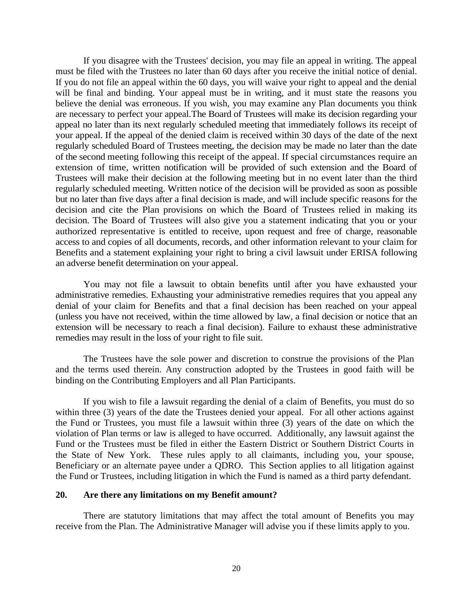If you disagree with the Trustees' decision, you may file an appeal in writing. The appeal must be filed with the Trustees no later than 60 days after you receive the initial notice of denial. If you do not file an appeal within the 60 days, you will waive your right to appeal and the denial will be final and binding. Your appeal must be in writing, and it must state the reasons you believe the denial was erroneous. If you wish, you may examine any Plan documents you think are necessary to perfect your appeal.The Board of Trustees will make its decision regarding your appeal no later than its next regularly scheduled meeting that immediately follows its receipt of your appeal. If the appeal of the denied claim is received within 30 days of the date of the next regularly scheduled Board of Trustees meeting, the decision may be made no later than the date of the second meeting following this receipt of the appeal. If special circumstances require an extension of time, written notification will be provided of such extension and the Board of Trustees will make their decision at the following meeting but in no event later than the third regularly scheduled meeting. Written notice of the decision will be provided as soon as possible but no later than five days after a final decision is made, and will include specific reasons for the decision and cite the Plan provisions on which the Board of Trustees relied in making its decision. The Board of Trustees will also give you a statement indicating that you or your authorized representative is entitled to receive, upon request and free of charge, reasonable access to and copies of all documents, records, and other information relevant to your claim for Benefits and a statement explaining your right to bring a civil lawsuit under ERISA following an adverse benefit determination on your appeal.

You may not file a lawsuit to obtain benefits until after you have exhausted your administrative remedies. Exhausting your administrative remedies requires that you appeal any denial of your claim for Benefits and that a final decision has been reached on your appeal (unless you have not received, within the time allowed by law, a final decision or notice that an extension will be necessary to reach a final decision). Failure to exhaust these administrative remedies may result in the loss of your right to file suit.

The Trustees have the sole power and discretion to construe the provisions of the Plan and the terms used therein. Any construction adopted by the Trustees in good faith will be binding on the Contributing Employers and all Plan Participants.

If you wish to file a lawsuit regarding the denial of a claim of Benefits, you must do so within three (3) years of the date the Trustees denied your appeal. For all other actions against the Fund or Trustees, you must file a lawsuit within three (3) years of the date on which the violation of Plan terms or law is alleged to have occurred. Additionally, any lawsuit against the Fund or the Trustees must be filed in either the Eastern District or Southern District Courts in the State of New York. These rules apply to all claimants, including you, your spouse, Beneficiary or an alternate payee under a QDRO. This Section applies to all litigation against the Fund or Trustees, including litigation in which the Fund is named as a third party defendant.

#### **20. Are there any limitations on my Benefit amount?**

There are statutory limitations that may affect the total amount of Benefits you may receive from the Plan. The Administrative Manager will advise you if these limits apply to you.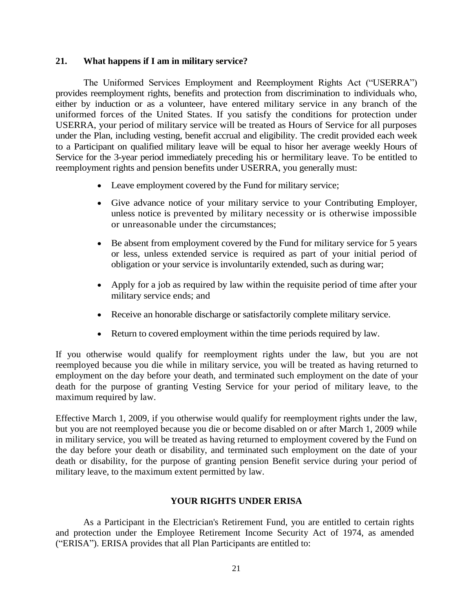# **21. What happens if I am in military service?**

The Uniformed Services Employment and Reemployment Rights Act ("USERRA") provides reemployment rights, benefits and protection from discrimination to individuals who, either by induction or as a volunteer, have entered military service in any branch of the uniformed forces of the United States. If you satisfy the conditions for protection under USERRA, your period of military service will be treated as Hours of Service for all purposes under the Plan, including vesting, benefit accrual and eligibility. The credit provided each week to a Participant on qualified military leave will be equal to hisor her average weekly Hours of Service for the 3-year period immediately preceding his or hermilitary leave. To be entitled to reemployment rights and pension benefits under USERRA, you generally must:

- Leave employment covered by the Fund for military service;
- Give advance notice of your military service to your Contributing Employer, unless notice is prevented by military necessity or is otherwise impossible or unreasonable under the circumstances;
- Be absent from employment covered by the Fund for military service for 5 years or less, unless extended service is required as part of your initial period of obligation or your service is involuntarily extended, such as during war;
- Apply for a job as required by law within the requisite period of time after your military service ends; and
- Receive an honorable discharge or satisfactorily complete military service.
- Return to covered employment within the time periods required by law.

If you otherwise would qualify for reemployment rights under the law, but you are not reemployed because you die while in military service, you will be treated as having returned to employment on the day before your death, and terminated such employment on the date of your death for the purpose of granting Vesting Service for your period of military leave, to the maximum required by law.

Effective March 1, 2009, if you otherwise would qualify for reemployment rights under the law, but you are not reemployed because you die or become disabled on or after March 1, 2009 while in military service, you will be treated as having returned to employment covered by the Fund on the day before your death or disability, and terminated such employment on the date of your death or disability, for the purpose of granting pension Benefit service during your period of military leave, to the maximum extent permitted by law.

# **YOUR RIGHTS UNDER ERISA**

As a Participant in the Electrician's Retirement Fund, you are entitled to certain rights and protection under the Employee Retirement Income Security Act of 1974, as amended ("ERISA"). ERISA provides that all Plan Participants are entitled to: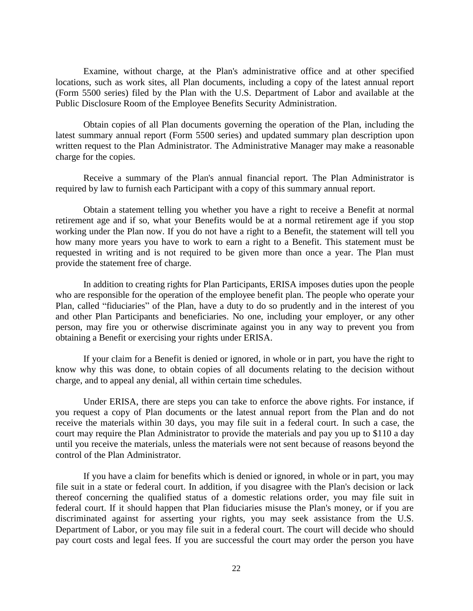Examine, without charge, at the Plan's administrative office and at other specified locations, such as work sites, all Plan documents, including a copy of the latest annual report (Form 5500 series) filed by the Plan with the U.S. Department of Labor and available at the Public Disclosure Room of the Employee Benefits Security Administration.

Obtain copies of all Plan documents governing the operation of the Plan, including the latest summary annual report (Form 5500 series) and updated summary plan description upon written request to the Plan Administrator. The Administrative Manager may make a reasonable charge for the copies.

Receive a summary of the Plan's annual financial report. The Plan Administrator is required by law to furnish each Participant with a copy of this summary annual report.

Obtain a statement telling you whether you have a right to receive a Benefit at normal retirement age and if so, what your Benefits would be at a normal retirement age if you stop working under the Plan now. If you do not have a right to a Benefit, the statement will tell you how many more years you have to work to earn a right to a Benefit. This statement must be requested in writing and is not required to be given more than once a year. The Plan must provide the statement free of charge.

In addition to creating rights for Plan Participants, ERISA imposes duties upon the people who are responsible for the operation of the employee benefit plan. The people who operate your Plan, called "fiduciaries" of the Plan, have a duty to do so prudently and in the interest of you and other Plan Participants and beneficiaries. No one, including your employer, or any other person, may fire you or otherwise discriminate against you in any way to prevent you from obtaining a Benefit or exercising your rights under ERISA.

If your claim for a Benefit is denied or ignored, in whole or in part, you have the right to know why this was done, to obtain copies of all documents relating to the decision without charge, and to appeal any denial, all within certain time schedules.

Under ERISA, there are steps you can take to enforce the above rights. For instance, if you request a copy of Plan documents or the latest annual report from the Plan and do not receive the materials within 30 days, you may file suit in a federal court. In such a case, the court may require the Plan Administrator to provide the materials and pay you up to \$110 a day until you receive the materials, unless the materials were not sent because of reasons beyond the control of the Plan Administrator.

If you have a claim for benefits which is denied or ignored, in whole or in part, you may file suit in a state or federal court. In addition, if you disagree with the Plan's decision or lack thereof concerning the qualified status of a domestic relations order, you may file suit in federal court. If it should happen that Plan fiduciaries misuse the Plan's money, or if you are discriminated against for asserting your rights, you may seek assistance from the U.S. Department of Labor, or you may file suit in a federal court. The court will decide who should pay court costs and legal fees. If you are successful the court may order the person you have